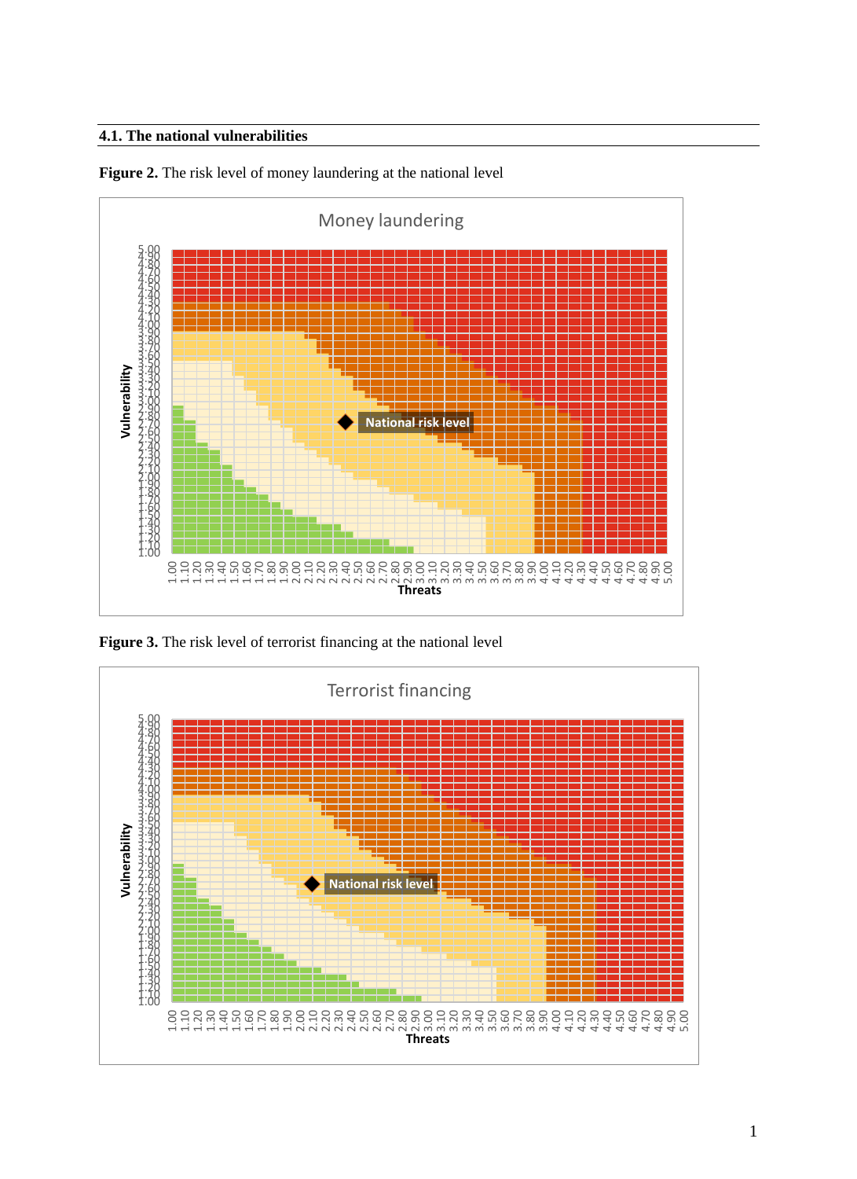# **4.1. The national vulnerabilities**



**Figure 2.** The risk level of money laundering at the national level

**Figure 3.** The risk level of terrorist financing at the national level

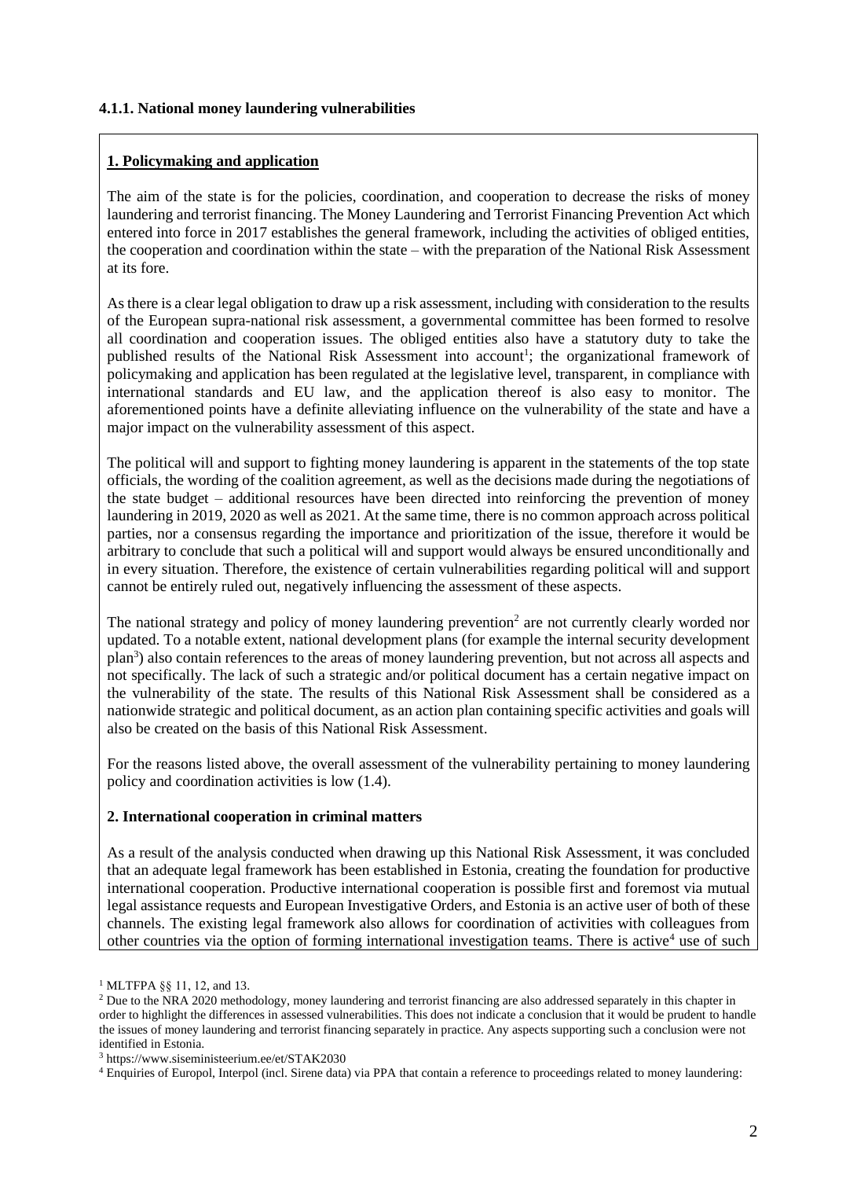#### **4.1.1. National money laundering vulnerabilities**

#### **1. Policymaking and application**

The aim of the state is for the policies, coordination, and cooperation to decrease the risks of money laundering and terrorist financing. The Money Laundering and Terrorist Financing Prevention Act which entered into force in 2017 establishes the general framework, including the activities of obliged entities, the cooperation and coordination within the state – with the preparation of the National Risk Assessment at its fore.

As there is a clear legal obligation to draw up a risk assessment, including with consideration to the results of the European supra-national risk assessment, a governmental committee has been formed to resolve all coordination and cooperation issues. The obliged entities also have a statutory duty to take the published results of the National Risk Assessment into account<sup>1</sup>; the organizational framework of policymaking and application has been regulated at the legislative level, transparent, in compliance with international standards and EU law, and the application thereof is also easy to monitor. The aforementioned points have a definite alleviating influence on the vulnerability of the state and have a major impact on the vulnerability assessment of this aspect.

The political will and support to fighting money laundering is apparent in the statements of the top state officials, the wording of the coalition agreement, as well as the decisions made during the negotiations of the state budget – additional resources have been directed into reinforcing the prevention of money laundering in 2019, 2020 as well as 2021. At the same time, there is no common approach across political parties, nor a consensus regarding the importance and prioritization of the issue, therefore it would be arbitrary to conclude that such a political will and support would always be ensured unconditionally and in every situation. Therefore, the existence of certain vulnerabilities regarding political will and support cannot be entirely ruled out, negatively influencing the assessment of these aspects.

The national strategy and policy of money laundering prevention<sup>2</sup> are not currently clearly worded nor updated. To a notable extent, national development plans (for example the internal security development plan<sup>3</sup>) also contain references to the areas of money laundering prevention, but not across all aspects and not specifically. The lack of such a strategic and/or political document has a certain negative impact on the vulnerability of the state. The results of this National Risk Assessment shall be considered as a nationwide strategic and political document, as an action plan containing specific activities and goals will also be created on the basis of this National Risk Assessment.

For the reasons listed above, the overall assessment of the vulnerability pertaining to money laundering policy and coordination activities is low (1.4).

#### **2. International cooperation in criminal matters**

As a result of the analysis conducted when drawing up this National Risk Assessment, it was concluded that an adequate legal framework has been established in Estonia, creating the foundation for productive international cooperation. Productive international cooperation is possible first and foremost via mutual legal assistance requests and European Investigative Orders, and Estonia is an active user of both of these channels. The existing legal framework also allows for coordination of activities with colleagues from other countries via the option of forming international investigation teams. There is active<sup>4</sup> use of such

<sup>1</sup> MLTFPA §§ 11, 12, and 13.

<sup>&</sup>lt;sup>2</sup> Due to the NRA 2020 methodology, money laundering and terrorist financing are also addressed separately in this chapter in order to highlight the differences in assessed vulnerabilities. This does not indicate a conclusion that it would be prudent to handle the issues of money laundering and terrorist financing separately in practice. Any aspects supporting such a conclusion were not identified in Estonia.

<sup>3</sup> https://www.siseministeerium.ee/et/STAK2030

<sup>4</sup> Enquiries of Europol, Interpol (incl. Sirene data) via PPA that contain a reference to proceedings related to money laundering: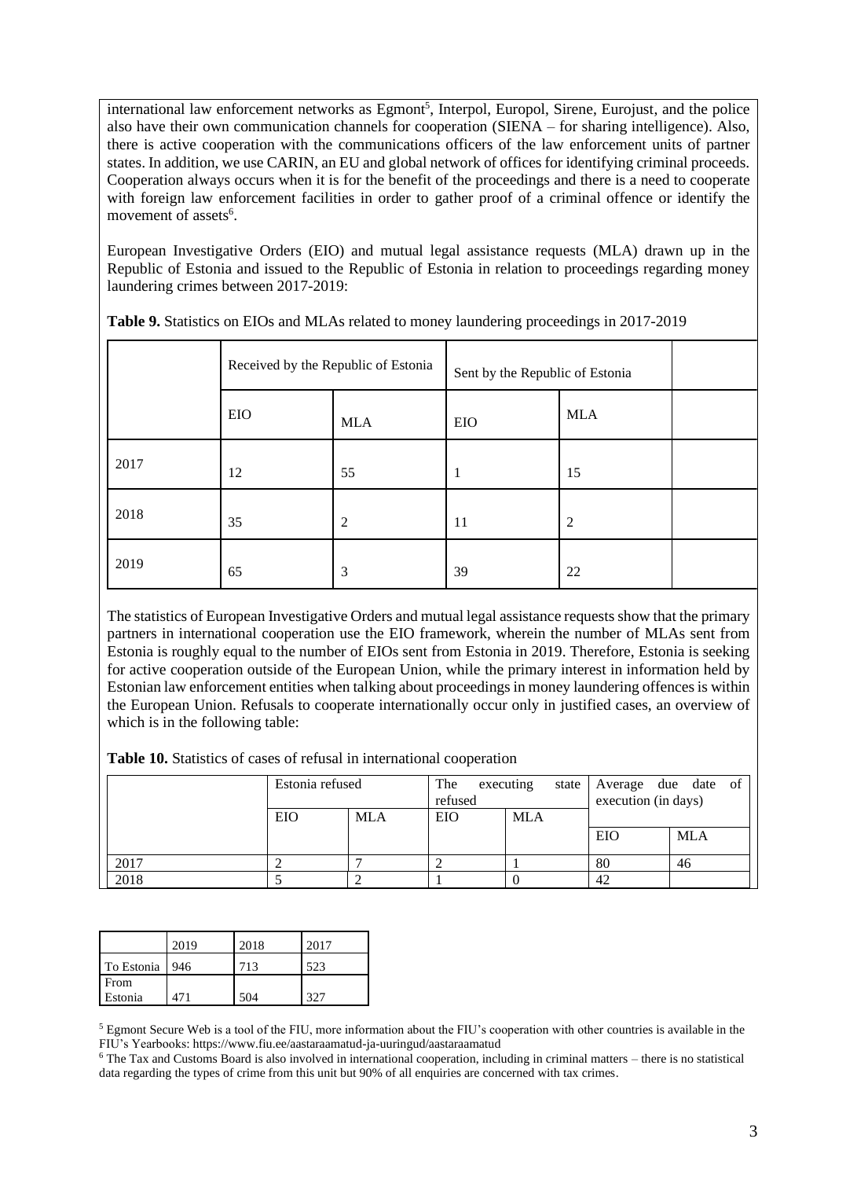international law enforcement networks as Egmont<sup>5</sup>, Interpol, Europol, Sirene, Eurojust, and the police also have their own communication channels for cooperation (SIENA – for sharing intelligence). Also, there is active cooperation with the communications officers of the law enforcement units of partner states. In addition, we use CARIN, an EU and global network of offices for identifying criminal proceeds. Cooperation always occurs when it is for the benefit of the proceedings and there is a need to cooperate with foreign law enforcement facilities in order to gather proof of a criminal offence or identify the movement of assets<sup>6</sup>.

European Investigative Orders (EIO) and mutual legal assistance requests (MLA) drawn up in the Republic of Estonia and issued to the Republic of Estonia in relation to proceedings regarding money laundering crimes between 2017-2019:

|      | Received by the Republic of Estonia |                | Sent by the Republic of Estonia |            |  |
|------|-------------------------------------|----------------|---------------------------------|------------|--|
|      | EIO                                 | <b>MLA</b>     | EIO                             | <b>MLA</b> |  |
| 2017 | 12                                  | 55             | 1                               | 15         |  |
| 2018 | 35                                  | $\overline{2}$ | 11                              | 2          |  |
| 2019 | 65                                  | 3              | 39                              | 22         |  |

**Table 9.** Statistics on EIOs and MLAs related to money laundering proceedings in 2017-2019

The statistics of European Investigative Orders and mutual legal assistance requests show that the primary partners in international cooperation use the EIO framework, wherein the number of MLAs sent from Estonia is roughly equal to the number of EIOs sent from Estonia in 2019. Therefore, Estonia is seeking for active cooperation outside of the European Union, while the primary interest in information held by Estonian law enforcement entities when talking about proceedings in money laundering offences is within the European Union. Refusals to cooperate internationally occur only in justified cases, an overview of which is in the following table:

**Table 10.** Statistics of cases of refusal in international cooperation

|      | Estonia refused |            | The<br>refused | executing  | state Average due date of<br>execution (in days) |            |
|------|-----------------|------------|----------------|------------|--------------------------------------------------|------------|
|      | EIO             | <b>MLA</b> | EIO            | <b>MLA</b> |                                                  |            |
|      |                 |            |                |            | EIO                                              | <b>MLA</b> |
| 2017 |                 |            |                |            | 80                                               | 46         |
| 2018 |                 |            |                |            | 42                                               |            |

|                  | 2019 | 2018 | 2017 |
|------------------|------|------|------|
| To Estonia   946 |      | 713  | 523  |
| From<br>Estonia  | 471  | 504  | 327  |

<sup>5</sup> Egmont Secure Web is a tool of the FIU, more information about the FIU's cooperation with other countries is available in the FIU's Yearbooks: https://www.fiu.ee/aastaraamatud-ja-uuringud/aastaraamatud

<sup>6</sup> The Tax and Customs Board is also involved in international cooperation, including in criminal matters – there is no statistical data regarding the types of crime from this unit but 90% of all enquiries are concerned with tax crimes.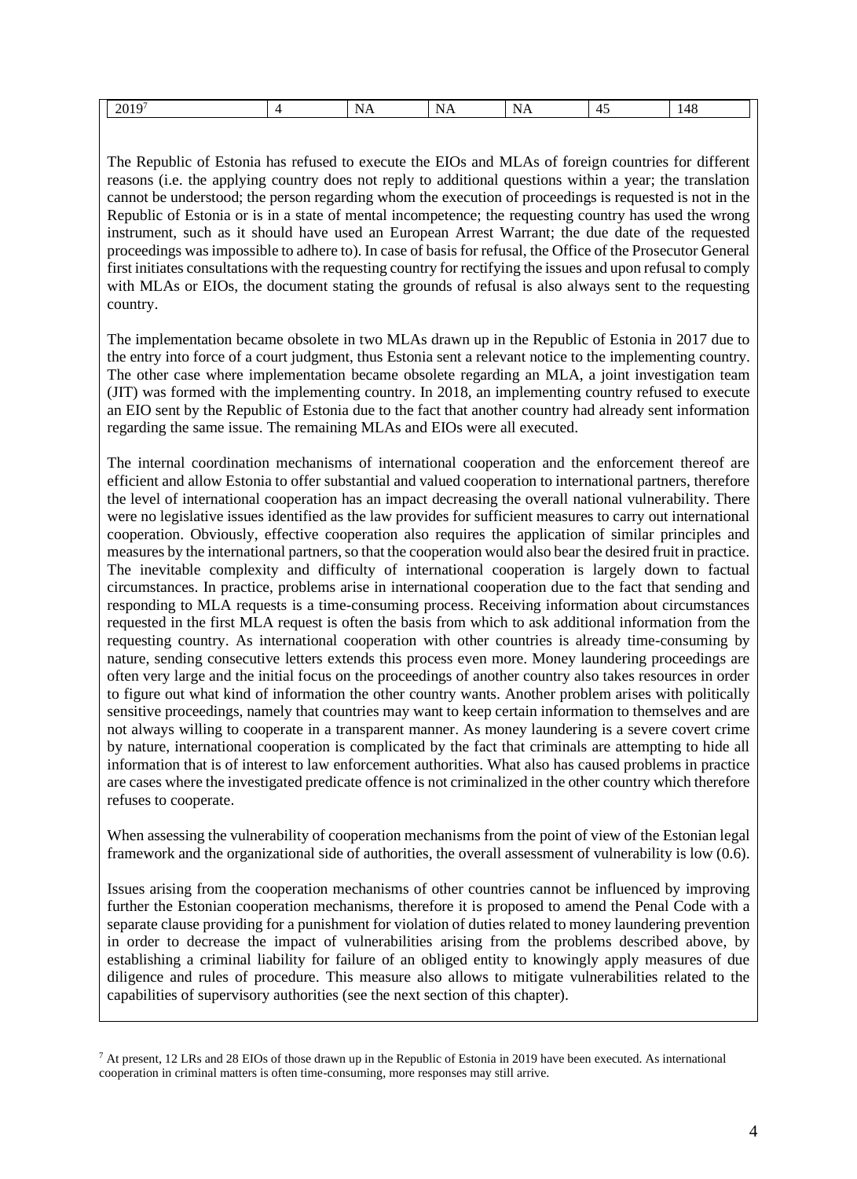| N<br>$\lambda$<br>N<br>w<br>ZU<br>YÆ<br>$\cdots$<br>. .<br>the contract of the contract of the contract of<br>the contract of the contract of<br>the contract of the contract of the |  |
|--------------------------------------------------------------------------------------------------------------------------------------------------------------------------------------|--|
|--------------------------------------------------------------------------------------------------------------------------------------------------------------------------------------|--|

The Republic of Estonia has refused to execute the EIOs and MLAs of foreign countries for different reasons (i.e. the applying country does not reply to additional questions within a year; the translation cannot be understood; the person regarding whom the execution of proceedings is requested is not in the Republic of Estonia or is in a state of mental incompetence; the requesting country has used the wrong instrument, such as it should have used an European Arrest Warrant; the due date of the requested proceedings was impossible to adhere to). In case of basis for refusal, the Office of the Prosecutor General first initiates consultations with the requesting country for rectifying the issues and upon refusal to comply with MLAs or EIOs, the document stating the grounds of refusal is also always sent to the requesting country.

The implementation became obsolete in two MLAs drawn up in the Republic of Estonia in 2017 due to the entry into force of a court judgment, thus Estonia sent a relevant notice to the implementing country. The other case where implementation became obsolete regarding an MLA, a joint investigation team (JIT) was formed with the implementing country. In 2018, an implementing country refused to execute an EIO sent by the Republic of Estonia due to the fact that another country had already sent information regarding the same issue. The remaining MLAs and EIOs were all executed.

The internal coordination mechanisms of international cooperation and the enforcement thereof are efficient and allow Estonia to offer substantial and valued cooperation to international partners, therefore the level of international cooperation has an impact decreasing the overall national vulnerability. There were no legislative issues identified as the law provides for sufficient measures to carry out international cooperation. Obviously, effective cooperation also requires the application of similar principles and measures by the international partners, so that the cooperation would also bear the desired fruit in practice. The inevitable complexity and difficulty of international cooperation is largely down to factual circumstances. In practice, problems arise in international cooperation due to the fact that sending and responding to MLA requests is a time-consuming process. Receiving information about circumstances requested in the first MLA request is often the basis from which to ask additional information from the requesting country. As international cooperation with other countries is already time-consuming by nature, sending consecutive letters extends this process even more. Money laundering proceedings are often very large and the initial focus on the proceedings of another country also takes resources in order to figure out what kind of information the other country wants. Another problem arises with politically sensitive proceedings, namely that countries may want to keep certain information to themselves and are not always willing to cooperate in a transparent manner. As money laundering is a severe covert crime by nature, international cooperation is complicated by the fact that criminals are attempting to hide all information that is of interest to law enforcement authorities. What also has caused problems in practice are cases where the investigated predicate offence is not criminalized in the other country which therefore refuses to cooperate.

When assessing the vulnerability of cooperation mechanisms from the point of view of the Estonian legal framework and the organizational side of authorities, the overall assessment of vulnerability is low (0.6).

Issues arising from the cooperation mechanisms of other countries cannot be influenced by improving further the Estonian cooperation mechanisms, therefore it is proposed to amend the Penal Code with a separate clause providing for a punishment for violation of duties related to money laundering prevention in order to decrease the impact of vulnerabilities arising from the problems described above, by establishing a criminal liability for failure of an obliged entity to knowingly apply measures of due diligence and rules of procedure. This measure also allows to mitigate vulnerabilities related to the capabilities of supervisory authorities (see the next section of this chapter).

 $7$  At present, 12 LRs and 28 EIOs of those drawn up in the Republic of Estonia in 2019 have been executed. As international cooperation in criminal matters is often time-consuming, more responses may still arrive.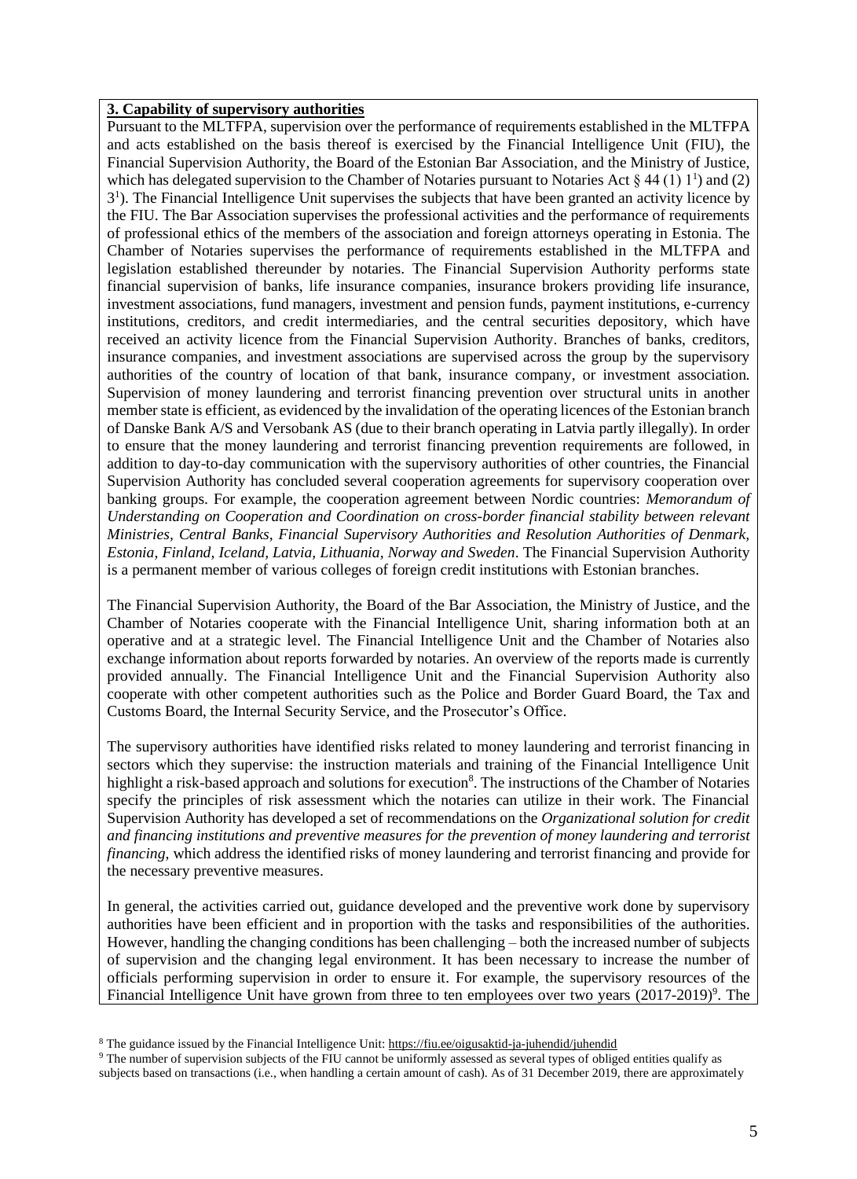#### **3. Capability of supervisory authorities**

Pursuant to the MLTFPA, supervision over the performance of requirements established in the MLTFPA and acts established on the basis thereof is exercised by the Financial Intelligence Unit (FIU), the Financial Supervision Authority, the Board of the Estonian Bar Association, and the Ministry of Justice, which has delegated supervision to the Chamber of Notaries pursuant to Notaries Act  $\S 44 (1) 1<sup>1</sup>$  and (2) 3 1 ). The Financial Intelligence Unit supervises the subjects that have been granted an activity licence by the FIU. The Bar Association supervises the professional activities and the performance of requirements of professional ethics of the members of the association and foreign attorneys operating in Estonia. The Chamber of Notaries supervises the performance of requirements established in the MLTFPA and legislation established thereunder by notaries. The Financial Supervision Authority performs state financial supervision of banks, life insurance companies, insurance brokers providing life insurance, investment associations, fund managers, investment and pension funds, payment institutions, e-currency institutions, creditors, and credit intermediaries, and the central securities depository, which have received an activity licence from the Financial Supervision Authority. Branches of banks, creditors, insurance companies, and investment associations are supervised across the group by the supervisory authorities of the country of location of that bank, insurance company, or investment association. Supervision of money laundering and terrorist financing prevention over structural units in another member state is efficient, as evidenced by the invalidation of the operating licences of the Estonian branch of Danske Bank A/S and Versobank AS (due to their branch operating in Latvia partly illegally). In order to ensure that the money laundering and terrorist financing prevention requirements are followed, in addition to day-to-day communication with the supervisory authorities of other countries, the Financial Supervision Authority has concluded several cooperation agreements for supervisory cooperation over banking groups. For example, the cooperation agreement between Nordic countries: *Memorandum of Understanding on Cooperation and Coordination on cross-border financial stability between relevant Ministries, Central Banks, Financial Supervisory Authorities and Resolution Authorities of Denmark, Estonia, Finland, Iceland, Latvia, Lithuania, Norway and Sweden*. The Financial Supervision Authority is a permanent member of various colleges of foreign credit institutions with Estonian branches.

The Financial Supervision Authority, the Board of the Bar Association, the Ministry of Justice, and the Chamber of Notaries cooperate with the Financial Intelligence Unit, sharing information both at an operative and at a strategic level. The Financial Intelligence Unit and the Chamber of Notaries also exchange information about reports forwarded by notaries. An overview of the reports made is currently provided annually. The Financial Intelligence Unit and the Financial Supervision Authority also cooperate with other competent authorities such as the Police and Border Guard Board, the Tax and Customs Board, the Internal Security Service, and the Prosecutor's Office.

The supervisory authorities have identified risks related to money laundering and terrorist financing in sectors which they supervise: the instruction materials and training of the Financial Intelligence Unit highlight a risk-based approach and solutions for execution<sup>8</sup>. The instructions of the Chamber of Notaries specify the principles of risk assessment which the notaries can utilize in their work. The Financial Supervision Authority has developed a set of recommendations on the *Organizational solution for credit and financing institutions and preventive measures for the prevention of money laundering and terrorist financing*, which address the identified risks of money laundering and terrorist financing and provide for the necessary preventive measures.

In general, the activities carried out, guidance developed and the preventive work done by supervisory authorities have been efficient and in proportion with the tasks and responsibilities of the authorities. However, handling the changing conditions has been challenging – both the increased number of subjects of supervision and the changing legal environment. It has been necessary to increase the number of officials performing supervision in order to ensure it. For example, the supervisory resources of the Financial Intelligence Unit have grown from three to ten employees over two years (2017-2019)<sup>9</sup>. The

<sup>&</sup>lt;sup>8</sup> The guidance issued by the Financial Intelligence Unit: https://fiu.ee/oigusaktid-ja-juhendid/juhendid

<sup>&</sup>lt;sup>9</sup> The number of supervision subjects of the FIU cannot be uniformly assessed as several types of obliged entities qualify as subjects based on transactions (i.e., when handling a certain amount of cash). As of 31 December 2019, there are approximately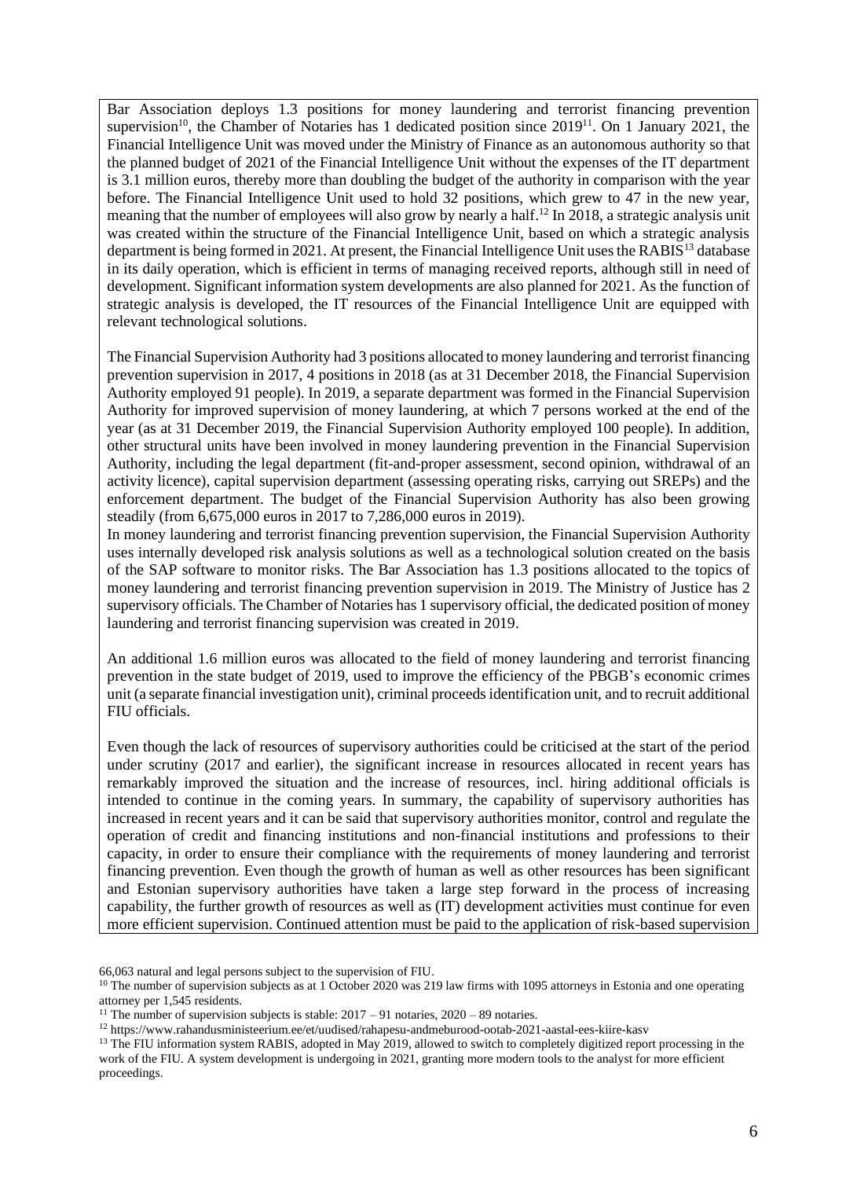Bar Association deploys 1.3 positions for money laundering and terrorist financing prevention supervision<sup>10</sup>, the Chamber of Notaries has 1 dedicated position since 2019<sup>11</sup>. On 1 January 2021, the Financial Intelligence Unit was moved under the Ministry of Finance as an autonomous authority so that the planned budget of 2021 of the Financial Intelligence Unit without the expenses of the IT department is 3.1 million euros, thereby more than doubling the budget of the authority in comparison with the year before. The Financial Intelligence Unit used to hold 32 positions, which grew to 47 in the new year, meaning that the number of employees will also grow by nearly a half.<sup>12</sup> In 2018, a strategic analysis unit was created within the structure of the Financial Intelligence Unit, based on which a strategic analysis department is being formed in 2021. At present, the Financial Intelligence Unit uses the RABIS<sup>13</sup> database in its daily operation, which is efficient in terms of managing received reports, although still in need of development. Significant information system developments are also planned for 2021. As the function of strategic analysis is developed, the IT resources of the Financial Intelligence Unit are equipped with relevant technological solutions.

The Financial Supervision Authority had 3 positions allocated to money laundering and terrorist financing prevention supervision in 2017, 4 positions in 2018 (as at 31 December 2018, the Financial Supervision Authority employed 91 people). In 2019, a separate department was formed in the Financial Supervision Authority for improved supervision of money laundering, at which 7 persons worked at the end of the year (as at 31 December 2019, the Financial Supervision Authority employed 100 people). In addition, other structural units have been involved in money laundering prevention in the Financial Supervision Authority, including the legal department (fit-and-proper assessment, second opinion, withdrawal of an activity licence), capital supervision department (assessing operating risks, carrying out SREPs) and the enforcement department. The budget of the Financial Supervision Authority has also been growing steadily (from 6,675,000 euros in 2017 to 7,286,000 euros in 2019).

In money laundering and terrorist financing prevention supervision, the Financial Supervision Authority uses internally developed risk analysis solutions as well as a technological solution created on the basis of the SAP software to monitor risks. The Bar Association has 1.3 positions allocated to the topics of money laundering and terrorist financing prevention supervision in 2019. The Ministry of Justice has 2 supervisory officials. The Chamber of Notaries has 1 supervisory official, the dedicated position of money laundering and terrorist financing supervision was created in 2019.

An additional 1.6 million euros was allocated to the field of money laundering and terrorist financing prevention in the state budget of 2019, used to improve the efficiency of the PBGB's economic crimes unit (a separate financial investigation unit), criminal proceeds identification unit, and to recruit additional FIU officials.

Even though the lack of resources of supervisory authorities could be criticised at the start of the period under scrutiny (2017 and earlier), the significant increase in resources allocated in recent years has remarkably improved the situation and the increase of resources, incl. hiring additional officials is intended to continue in the coming years. In summary, the capability of supervisory authorities has increased in recent years and it can be said that supervisory authorities monitor, control and regulate the operation of credit and financing institutions and non-financial institutions and professions to their capacity, in order to ensure their compliance with the requirements of money laundering and terrorist financing prevention. Even though the growth of human as well as other resources has been significant and Estonian supervisory authorities have taken a large step forward in the process of increasing capability, the further growth of resources as well as (IT) development activities must continue for even more efficient supervision. Continued attention must be paid to the application of risk-based supervision

<sup>66,063</sup> natural and legal persons subject to the supervision of FIU.

<sup>&</sup>lt;sup>10</sup> The number of supervision subjects as at 1 October 2020 was 219 law firms with 1095 attorneys in Estonia and one operating attorney per 1,545 residents.

<sup>&</sup>lt;sup>11</sup> The number of supervision subjects is stable:  $2017 - 91$  notaries,  $2020 - 89$  notaries.

<sup>12</sup> https://www.rahandusministeerium.ee/et/uudised/rahapesu-andmeburood-ootab-2021-aastal-ees-kiire-kasv

<sup>&</sup>lt;sup>13</sup> The FIU information system RABIS, adopted in May 2019, allowed to switch to completely digitized report processing in the work of the FIU. A system development is undergoing in 2021, granting more modern tools to the analyst for more efficient proceedings.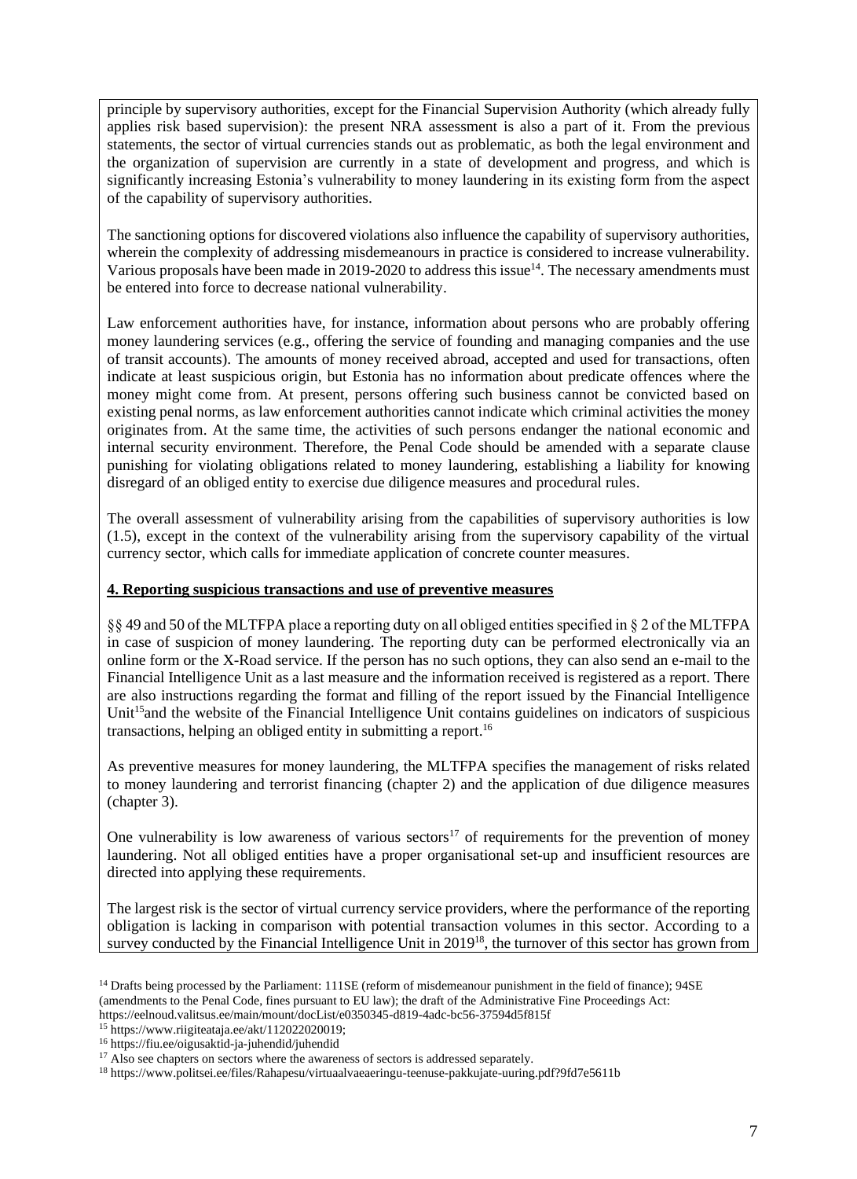principle by supervisory authorities, except for the Financial Supervision Authority (which already fully applies risk based supervision): the present NRA assessment is also a part of it. From the previous statements, the sector of virtual currencies stands out as problematic, as both the legal environment and the organization of supervision are currently in a state of development and progress, and which is significantly increasing Estonia's vulnerability to money laundering in its existing form from the aspect of the capability of supervisory authorities.

The sanctioning options for discovered violations also influence the capability of supervisory authorities, wherein the complexity of addressing misdemeanours in practice is considered to increase vulnerability. Various proposals have been made in 2019-2020 to address this issue<sup>14</sup>. The necessary amendments must be entered into force to decrease national vulnerability.

Law enforcement authorities have, for instance, information about persons who are probably offering money laundering services (e.g., offering the service of founding and managing companies and the use of transit accounts). The amounts of money received abroad, accepted and used for transactions, often indicate at least suspicious origin, but Estonia has no information about predicate offences where the money might come from. At present, persons offering such business cannot be convicted based on existing penal norms, as law enforcement authorities cannot indicate which criminal activities the money originates from. At the same time, the activities of such persons endanger the national economic and internal security environment. Therefore, the Penal Code should be amended with a separate clause punishing for violating obligations related to money laundering, establishing a liability for knowing disregard of an obliged entity to exercise due diligence measures and procedural rules.

The overall assessment of vulnerability arising from the capabilities of supervisory authorities is low (1.5), except in the context of the vulnerability arising from the supervisory capability of the virtual currency sector, which calls for immediate application of concrete counter measures.

### **4. Reporting suspicious transactions and use of preventive measures**

§§ 49 and 50 of the MLTFPA place a reporting duty on all obliged entities specified in § 2 of the MLTFPA in case of suspicion of money laundering. The reporting duty can be performed electronically via an online form or the X-Road service. If the person has no such options, they can also send an e-mail to the Financial Intelligence Unit as a last measure and the information received is registered as a report. There are also instructions regarding the format and filling of the report issued by the Financial Intelligence Unit<sup>15</sup> and the website of the Financial Intelligence Unit contains guidelines on indicators of suspicious transactions, helping an obliged entity in submitting a report. 16

As preventive measures for money laundering, the MLTFPA specifies the management of risks related to money laundering and terrorist financing (chapter 2) and the application of due diligence measures (chapter 3).

One vulnerability is low awareness of various sectors<sup>17</sup> of requirements for the prevention of money laundering. Not all obliged entities have a proper organisational set-up and insufficient resources are directed into applying these requirements.

The largest risk is the sector of virtual currency service providers, where the performance of the reporting obligation is lacking in comparison with potential transaction volumes in this sector. According to a survey conducted by the Financial Intelligence Unit in 2019<sup>18</sup>, the turnover of this sector has grown from

https://eelnoud.valitsus.ee/main/mount/docList/e0350345-d819-4adc-bc56-37594d5f815f

<sup>&</sup>lt;sup>14</sup> Drafts being processed by the Parliament: 111SE (reform of misdemeanour punishment in the field of finance); 94SE (amendments to the Penal Code, fines pursuant to EU law); the draft of the Administrative Fine Proceedings Act:

<sup>15</sup> https://www.riigiteataja.ee/akt/112022020019;

<sup>16</sup> https://fiu.ee/oigusaktid-ja-juhendid/juhendid

<sup>&</sup>lt;sup>17</sup> Also see chapters on sectors where the awareness of sectors is addressed separately.

<sup>18</sup> https://www.politsei.ee/files/Rahapesu/virtuaalvaeaeringu-teenuse-pakkujate-uuring.pdf?9fd7e5611b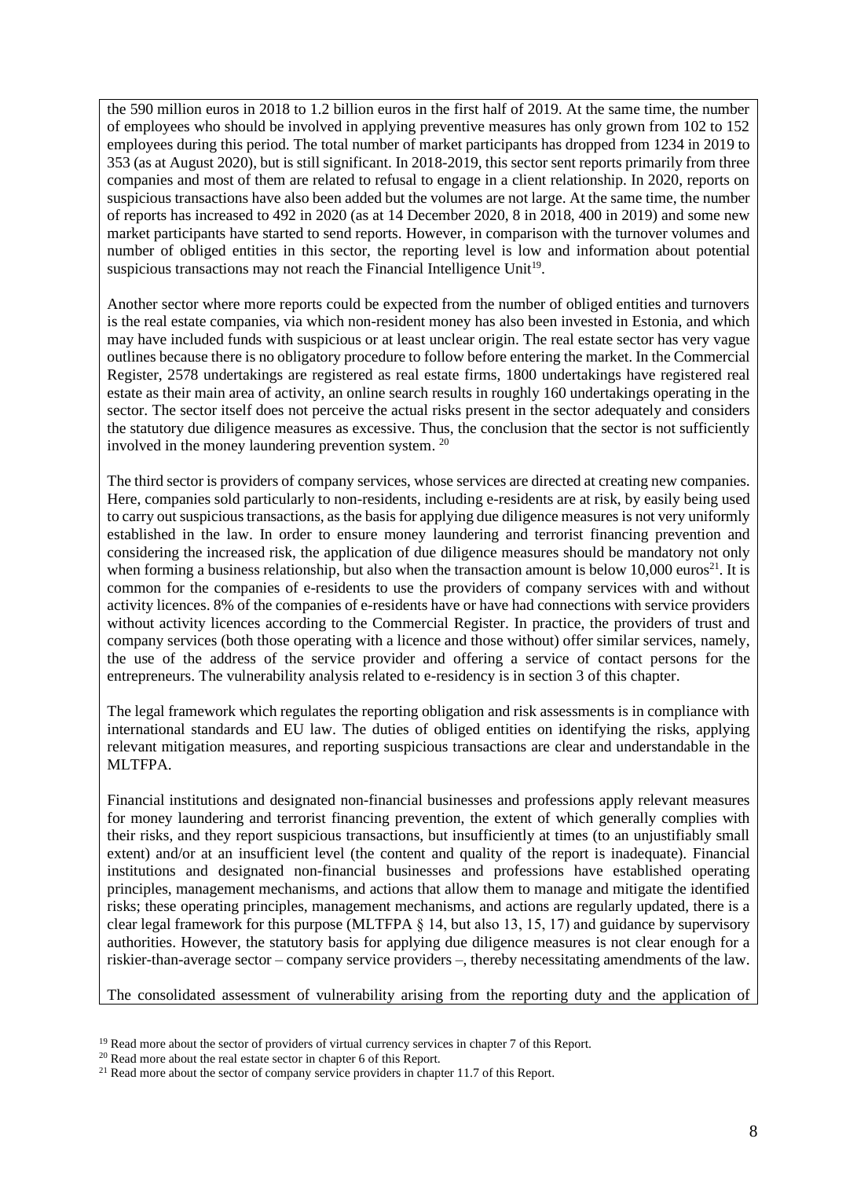the 590 million euros in 2018 to 1.2 billion euros in the first half of 2019. At the same time, the number of employees who should be involved in applying preventive measures has only grown from 102 to 152 employees during this period. The total number of market participants has dropped from 1234 in 2019 to 353 (as at August 2020), but is still significant. In 2018-2019, this sector sent reports primarily from three companies and most of them are related to refusal to engage in a client relationship. In 2020, reports on suspicious transactions have also been added but the volumes are not large. At the same time, the number of reports has increased to 492 in 2020 (as at 14 December 2020, 8 in 2018, 400 in 2019) and some new market participants have started to send reports. However, in comparison with the turnover volumes and number of obliged entities in this sector, the reporting level is low and information about potential suspicious transactions may not reach the Financial Intelligence Unit<sup>19</sup>.

Another sector where more reports could be expected from the number of obliged entities and turnovers is the real estate companies, via which non-resident money has also been invested in Estonia, and which may have included funds with suspicious or at least unclear origin. The real estate sector has very vague outlines because there is no obligatory procedure to follow before entering the market. In the Commercial Register, 2578 undertakings are registered as real estate firms, 1800 undertakings have registered real estate as their main area of activity, an online search results in roughly 160 undertakings operating in the sector. The sector itself does not perceive the actual risks present in the sector adequately and considers the statutory due diligence measures as excessive. Thus, the conclusion that the sector is not sufficiently involved in the money laundering prevention system. 20

The third sector is providers of company services, whose services are directed at creating new companies. Here, companies sold particularly to non-residents, including e-residents are at risk, by easily being used to carry out suspicious transactions, as the basis for applying due diligence measures is not very uniformly established in the law. In order to ensure money laundering and terrorist financing prevention and considering the increased risk, the application of due diligence measures should be mandatory not only when forming a business relationship, but also when the transaction amount is below 10,000 euros<sup>21</sup>. It is common for the companies of e-residents to use the providers of company services with and without activity licences. 8% of the companies of e-residents have or have had connections with service providers without activity licences according to the Commercial Register. In practice, the providers of trust and company services (both those operating with a licence and those without) offer similar services, namely, the use of the address of the service provider and offering a service of contact persons for the entrepreneurs. The vulnerability analysis related to e-residency is in section 3 of this chapter.

The legal framework which regulates the reporting obligation and risk assessments is in compliance with international standards and EU law. The duties of obliged entities on identifying the risks, applying relevant mitigation measures, and reporting suspicious transactions are clear and understandable in the MLTFPA.

Financial institutions and designated non-financial businesses and professions apply relevant measures for money laundering and terrorist financing prevention, the extent of which generally complies with their risks, and they report suspicious transactions, but insufficiently at times (to an unjustifiably small extent) and/or at an insufficient level (the content and quality of the report is inadequate). Financial institutions and designated non-financial businesses and professions have established operating principles, management mechanisms, and actions that allow them to manage and mitigate the identified risks; these operating principles, management mechanisms, and actions are regularly updated, there is a clear legal framework for this purpose (MLTFPA § 14, but also 13, 15, 17) and guidance by supervisory authorities. However, the statutory basis for applying due diligence measures is not clear enough for a riskier-than-average sector – company service providers –, thereby necessitating amendments of the law.

The consolidated assessment of vulnerability arising from the reporting duty and the application of

<sup>&</sup>lt;sup>19</sup> Read more about the sector of providers of virtual currency services in chapter 7 of this Report.

<sup>&</sup>lt;sup>20</sup> Read more about the real estate sector in chapter 6 of this Report.

<sup>&</sup>lt;sup>21</sup> Read more about the sector of company service providers in chapter 11.7 of this Report.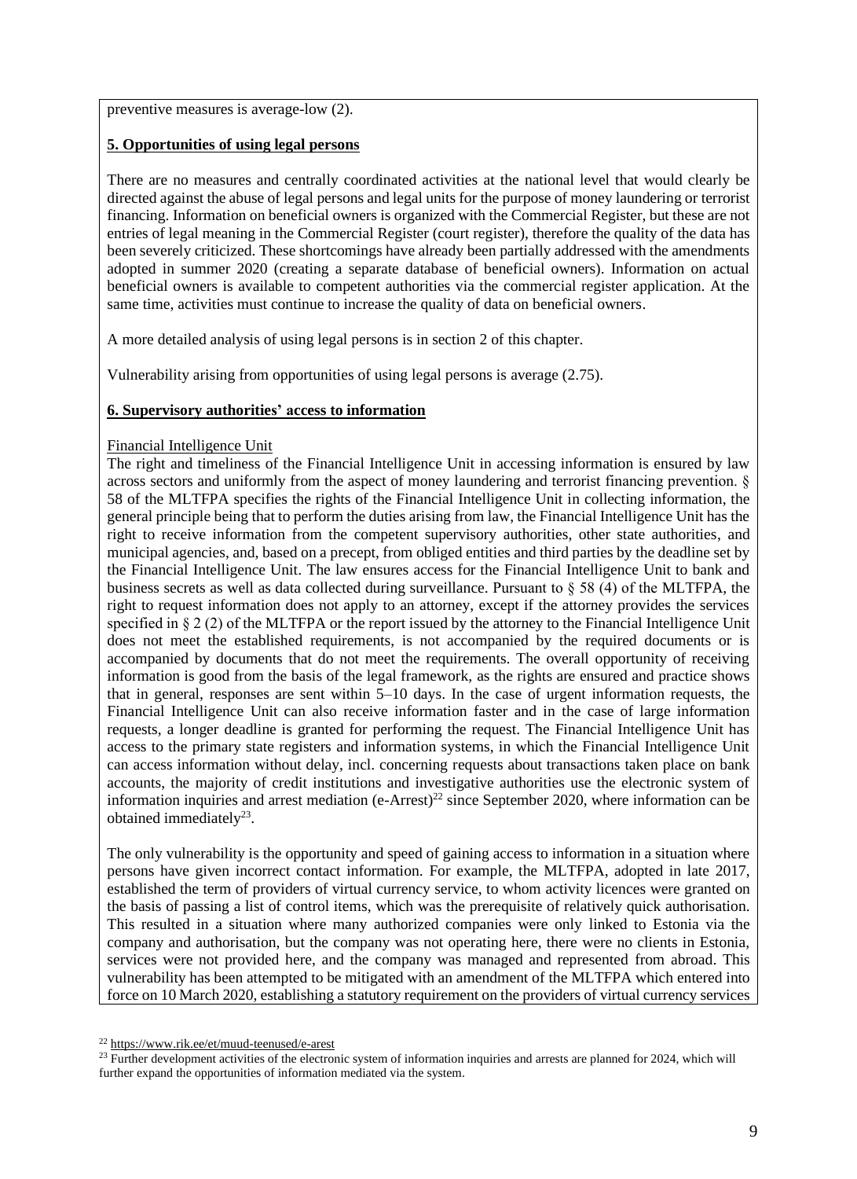preventive measures is average-low (2).

### **5. Opportunities of using legal persons**

There are no measures and centrally coordinated activities at the national level that would clearly be directed against the abuse of legal persons and legal units for the purpose of money laundering or terrorist financing. Information on beneficial owners is organized with the Commercial Register, but these are not entries of legal meaning in the Commercial Register (court register), therefore the quality of the data has been severely criticized. These shortcomings have already been partially addressed with the amendments adopted in summer 2020 (creating a separate database of beneficial owners). Information on actual beneficial owners is available to competent authorities via the commercial register application. At the same time, activities must continue to increase the quality of data on beneficial owners.

A more detailed analysis of using legal persons is in section 2 of this chapter.

Vulnerability arising from opportunities of using legal persons is average (2.75).

## **6. Supervisory authorities' access to information**

#### Financial Intelligence Unit

The right and timeliness of the Financial Intelligence Unit in accessing information is ensured by law across sectors and uniformly from the aspect of money laundering and terrorist financing prevention. § 58 of the MLTFPA specifies the rights of the Financial Intelligence Unit in collecting information, the general principle being that to perform the duties arising from law, the Financial Intelligence Unit has the right to receive information from the competent supervisory authorities, other state authorities, and municipal agencies, and, based on a precept, from obliged entities and third parties by the deadline set by the Financial Intelligence Unit. The law ensures access for the Financial Intelligence Unit to bank and business secrets as well as data collected during surveillance. Pursuant to § 58 (4) of the MLTFPA, the right to request information does not apply to an attorney, except if the attorney provides the services specified in § 2 (2) of the MLTFPA or the report issued by the attorney to the Financial Intelligence Unit does not meet the established requirements, is not accompanied by the required documents or is accompanied by documents that do not meet the requirements. The overall opportunity of receiving information is good from the basis of the legal framework, as the rights are ensured and practice shows that in general, responses are sent within 5–10 days. In the case of urgent information requests, the Financial Intelligence Unit can also receive information faster and in the case of large information requests, a longer deadline is granted for performing the request. The Financial Intelligence Unit has access to the primary state registers and information systems, in which the Financial Intelligence Unit can access information without delay, incl. concerning requests about transactions taken place on bank accounts, the majority of credit institutions and investigative authorities use the electronic system of information inquiries and arrest mediation (e-Arrest)<sup>22</sup> since September 2020, where information can be obtained immediately $^{23}$ .

The only vulnerability is the opportunity and speed of gaining access to information in a situation where persons have given incorrect contact information. For example, the MLTFPA, adopted in late 2017, established the term of providers of virtual currency service, to whom activity licences were granted on the basis of passing a list of control items, which was the prerequisite of relatively quick authorisation. This resulted in a situation where many authorized companies were only linked to Estonia via the company and authorisation, but the company was not operating here, there were no clients in Estonia, services were not provided here, and the company was managed and represented from abroad. This vulnerability has been attempted to be mitigated with an amendment of the MLTFPA which entered into force on 10 March 2020, establishing a statutory requirement on the providers of virtual currency services

<sup>22</sup> <https://www.rik.ee/et/muud-teenused/e-arest>

 $^{23}$  Further development activities of the electronic system of information inquiries and arrests are planned for 2024, which will further expand the opportunities of information mediated via the system.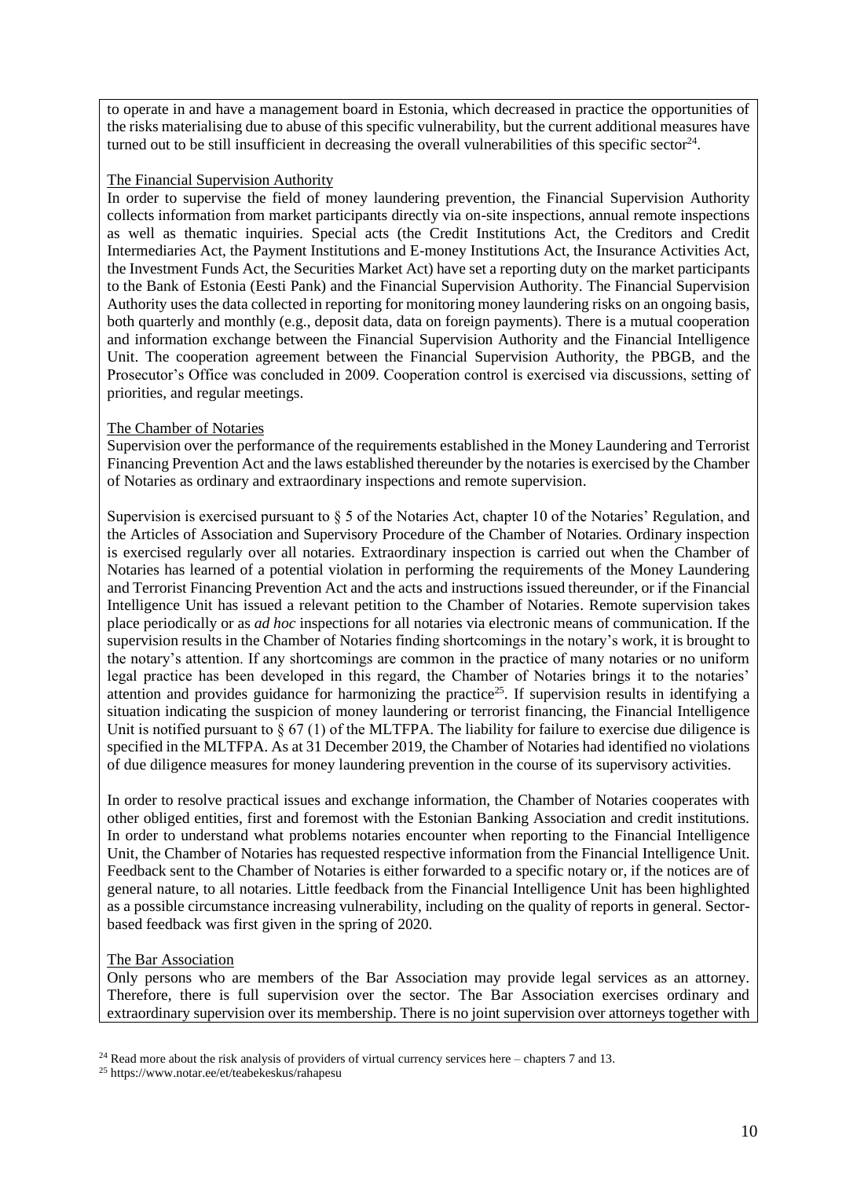to operate in and have a management board in Estonia, which decreased in practice the opportunities of the risks materialising due to abuse of this specific vulnerability, but the current additional measures have turned out to be still insufficient in decreasing the overall vulnerabilities of this specific sector<sup>24</sup>.

#### The Financial Supervision Authority

In order to supervise the field of money laundering prevention, the Financial Supervision Authority collects information from market participants directly via on-site inspections, annual remote inspections as well as thematic inquiries. Special acts (the Credit Institutions Act, the Creditors and Credit Intermediaries Act, the Payment Institutions and E-money Institutions Act, the Insurance Activities Act, the Investment Funds Act, the Securities Market Act) have set a reporting duty on the market participants to the Bank of Estonia (Eesti Pank) and the Financial Supervision Authority. The Financial Supervision Authority uses the data collected in reporting for monitoring money laundering risks on an ongoing basis, both quarterly and monthly (e.g., deposit data, data on foreign payments). There is a mutual cooperation and information exchange between the Financial Supervision Authority and the Financial Intelligence Unit. The cooperation agreement between the Financial Supervision Authority, the PBGB, and the Prosecutor's Office was concluded in 2009. Cooperation control is exercised via discussions, setting of priorities, and regular meetings.

#### The Chamber of Notaries

Supervision over the performance of the requirements established in the Money Laundering and Terrorist Financing Prevention Act and the laws established thereunder by the notaries is exercised by the Chamber of Notaries as ordinary and extraordinary inspections and remote supervision.

Supervision is exercised pursuant to § 5 of the Notaries Act, chapter 10 of the Notaries' Regulation, and the Articles of Association and Supervisory Procedure of the Chamber of Notaries. Ordinary inspection is exercised regularly over all notaries. Extraordinary inspection is carried out when the Chamber of Notaries has learned of a potential violation in performing the requirements of the Money Laundering and Terrorist Financing Prevention Act and the acts and instructions issued thereunder, or if the Financial Intelligence Unit has issued a relevant petition to the Chamber of Notaries. Remote supervision takes place periodically or as *ad hoc* inspections for all notaries via electronic means of communication. If the supervision results in the Chamber of Notaries finding shortcomings in the notary's work, it is brought to the notary's attention. If any shortcomings are common in the practice of many notaries or no uniform legal practice has been developed in this regard, the Chamber of Notaries brings it to the notaries' attention and provides guidance for harmonizing the practice<sup>25</sup>. If supervision results in identifying a situation indicating the suspicion of money laundering or terrorist financing, the Financial Intelligence Unit is notified pursuant to  $\S 67 (1)$  of the MLTFPA. The liability for failure to exercise due diligence is specified in the MLTFPA. As at 31 December 2019, the Chamber of Notaries had identified no violations of due diligence measures for money laundering prevention in the course of its supervisory activities.

In order to resolve practical issues and exchange information, the Chamber of Notaries cooperates with other obliged entities, first and foremost with the Estonian Banking Association and credit institutions. In order to understand what problems notaries encounter when reporting to the Financial Intelligence Unit, the Chamber of Notaries has requested respective information from the Financial Intelligence Unit. Feedback sent to the Chamber of Notaries is either forwarded to a specific notary or, if the notices are of general nature, to all notaries. Little feedback from the Financial Intelligence Unit has been highlighted as a possible circumstance increasing vulnerability, including on the quality of reports in general. Sectorbased feedback was first given in the spring of 2020.

## The Bar Association

Only persons who are members of the Bar Association may provide legal services as an attorney. Therefore, there is full supervision over the sector. The Bar Association exercises ordinary and extraordinary supervision over its membership. There is no joint supervision over attorneys together with

 $24$  Read more about the risk analysis of providers of virtual currency services here – chapters 7 and 13.

<sup>25</sup> https://www.notar.ee/et/teabekeskus/rahapesu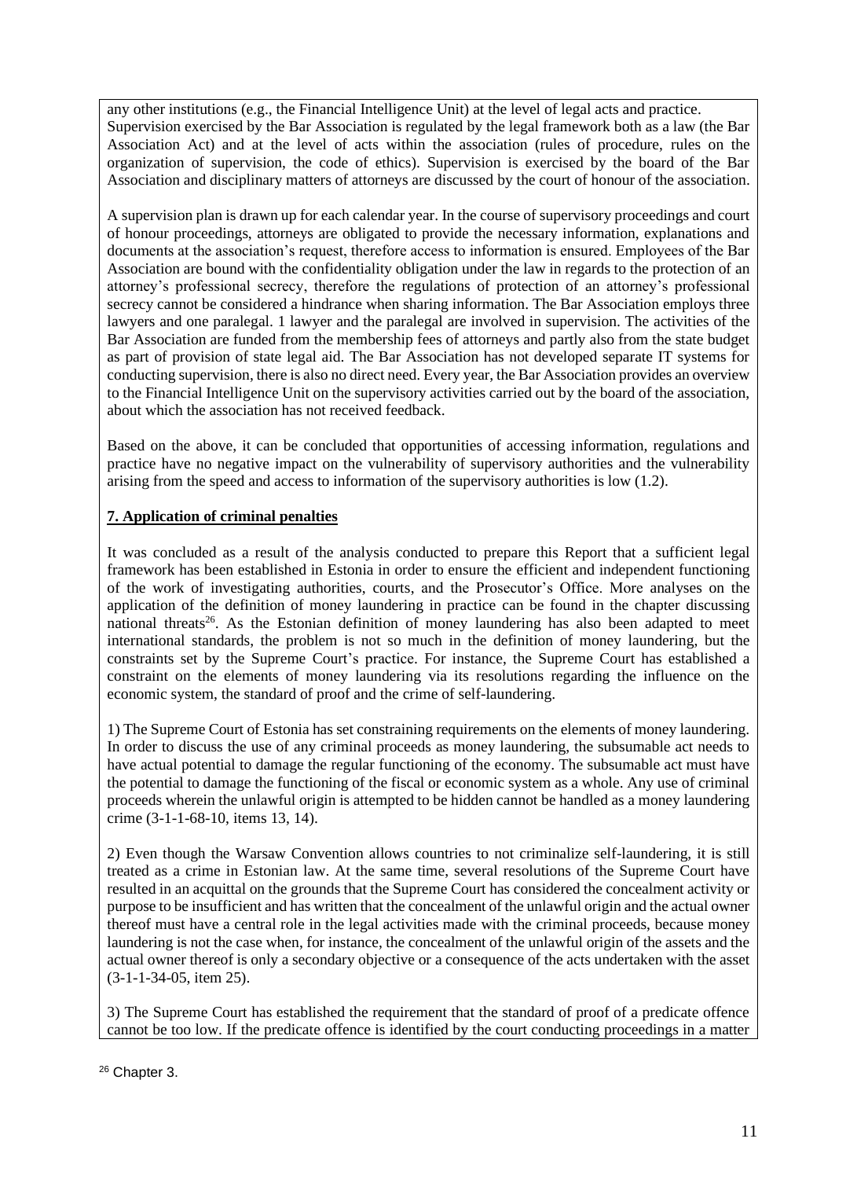any other institutions (e.g., the Financial Intelligence Unit) at the level of legal acts and practice. Supervision exercised by the Bar Association is regulated by the legal framework both as a law (the Bar Association Act) and at the level of acts within the association (rules of procedure, rules on the organization of supervision, the code of ethics). Supervision is exercised by the board of the Bar Association and disciplinary matters of attorneys are discussed by the court of honour of the association.

A supervision plan is drawn up for each calendar year. In the course of supervisory proceedings and court of honour proceedings, attorneys are obligated to provide the necessary information, explanations and documents at the association's request, therefore access to information is ensured. Employees of the Bar Association are bound with the confidentiality obligation under the law in regards to the protection of an attorney's professional secrecy, therefore the regulations of protection of an attorney's professional secrecy cannot be considered a hindrance when sharing information. The Bar Association employs three lawyers and one paralegal. 1 lawyer and the paralegal are involved in supervision. The activities of the Bar Association are funded from the membership fees of attorneys and partly also from the state budget as part of provision of state legal aid. The Bar Association has not developed separate IT systems for conducting supervision, there is also no direct need. Every year, the Bar Association provides an overview to the Financial Intelligence Unit on the supervisory activities carried out by the board of the association, about which the association has not received feedback.

Based on the above, it can be concluded that opportunities of accessing information, regulations and practice have no negative impact on the vulnerability of supervisory authorities and the vulnerability arising from the speed and access to information of the supervisory authorities is low (1.2).

# **7. Application of criminal penalties**

It was concluded as a result of the analysis conducted to prepare this Report that a sufficient legal framework has been established in Estonia in order to ensure the efficient and independent functioning of the work of investigating authorities, courts, and the Prosecutor's Office. More analyses on the application of the definition of money laundering in practice can be found in the chapter discussing national threats<sup>26</sup>. As the Estonian definition of money laundering has also been adapted to meet international standards, the problem is not so much in the definition of money laundering, but the constraints set by the Supreme Court's practice. For instance, the Supreme Court has established a constraint on the elements of money laundering via its resolutions regarding the influence on the economic system, the standard of proof and the crime of self-laundering.

1) The Supreme Court of Estonia has set constraining requirements on the elements of money laundering. In order to discuss the use of any criminal proceeds as money laundering, the subsumable act needs to have actual potential to damage the regular functioning of the economy. The subsumable act must have the potential to damage the functioning of the fiscal or economic system as a whole. Any use of criminal proceeds wherein the unlawful origin is attempted to be hidden cannot be handled as a money laundering crime (3-1-1-68-10, items 13, 14).

2) Even though the Warsaw Convention allows countries to not criminalize self-laundering, it is still treated as a crime in Estonian law. At the same time, several resolutions of the Supreme Court have resulted in an acquittal on the grounds that the Supreme Court has considered the concealment activity or purpose to be insufficient and has written that the concealment of the unlawful origin and the actual owner thereof must have a central role in the legal activities made with the criminal proceeds, because money laundering is not the case when, for instance, the concealment of the unlawful origin of the assets and the actual owner thereof is only a secondary objective or a consequence of the acts undertaken with the asset (3-1-1-34-05, item 25).

3) The Supreme Court has established the requirement that the standard of proof of a predicate offence cannot be too low. If the predicate offence is identified by the court conducting proceedings in a matter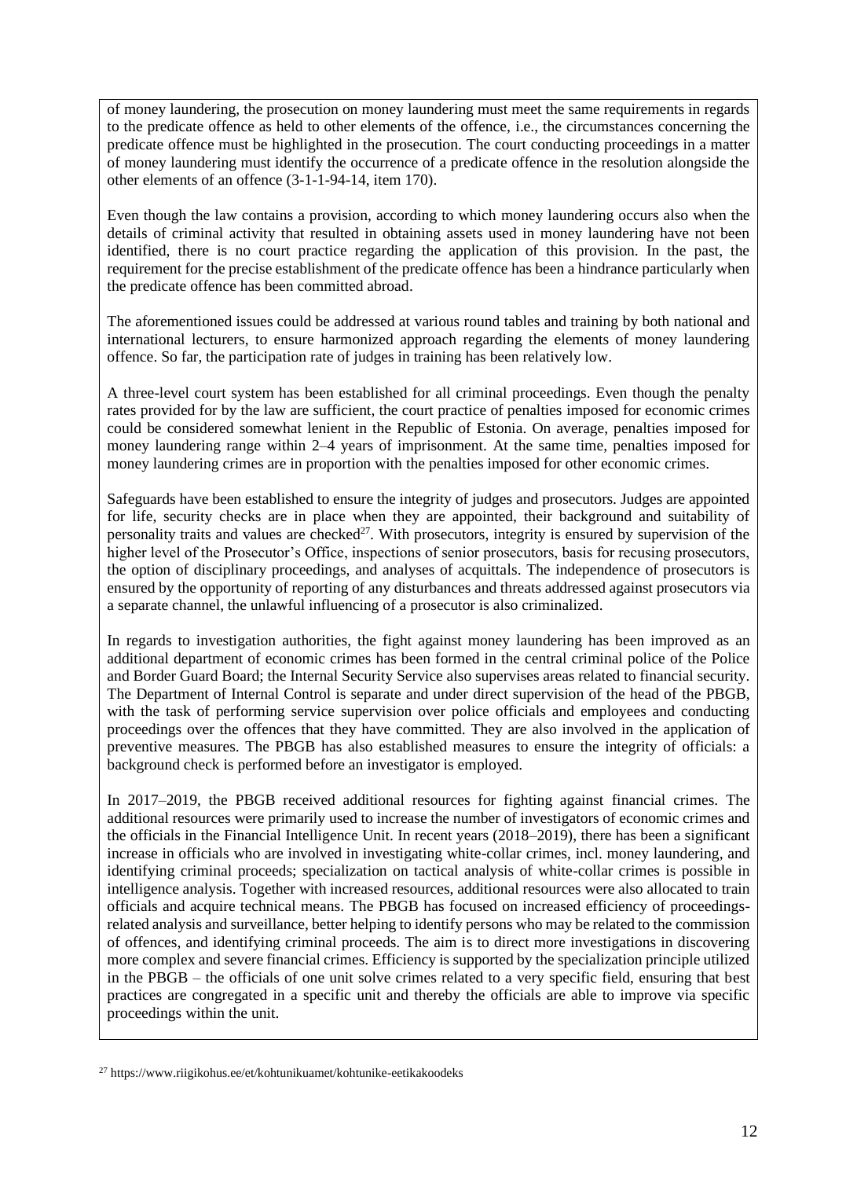of money laundering, the prosecution on money laundering must meet the same requirements in regards to the predicate offence as held to other elements of the offence, i.e., the circumstances concerning the predicate offence must be highlighted in the prosecution. The court conducting proceedings in a matter of money laundering must identify the occurrence of a predicate offence in the resolution alongside the other elements of an offence (3-1-1-94-14, item 170).

Even though the law contains a provision, according to which money laundering occurs also when the details of criminal activity that resulted in obtaining assets used in money laundering have not been identified, there is no court practice regarding the application of this provision. In the past, the requirement for the precise establishment of the predicate offence has been a hindrance particularly when the predicate offence has been committed abroad.

The aforementioned issues could be addressed at various round tables and training by both national and international lecturers, to ensure harmonized approach regarding the elements of money laundering offence. So far, the participation rate of judges in training has been relatively low.

A three-level court system has been established for all criminal proceedings. Even though the penalty rates provided for by the law are sufficient, the court practice of penalties imposed for economic crimes could be considered somewhat lenient in the Republic of Estonia. On average, penalties imposed for money laundering range within 2–4 years of imprisonment. At the same time, penalties imposed for money laundering crimes are in proportion with the penalties imposed for other economic crimes.

Safeguards have been established to ensure the integrity of judges and prosecutors. Judges are appointed for life, security checks are in place when they are appointed, their background and suitability of personality traits and values are checked<sup>27</sup>. With prosecutors, integrity is ensured by supervision of the higher level of the Prosecutor's Office, inspections of senior prosecutors, basis for recusing prosecutors, the option of disciplinary proceedings, and analyses of acquittals. The independence of prosecutors is ensured by the opportunity of reporting of any disturbances and threats addressed against prosecutors via a separate channel, the unlawful influencing of a prosecutor is also criminalized.

In regards to investigation authorities, the fight against money laundering has been improved as an additional department of economic crimes has been formed in the central criminal police of the Police and Border Guard Board; the Internal Security Service also supervises areas related to financial security. The Department of Internal Control is separate and under direct supervision of the head of the PBGB, with the task of performing service supervision over police officials and employees and conducting proceedings over the offences that they have committed. They are also involved in the application of preventive measures. The PBGB has also established measures to ensure the integrity of officials: a background check is performed before an investigator is employed.

In 2017–2019, the PBGB received additional resources for fighting against financial crimes. The additional resources were primarily used to increase the number of investigators of economic crimes and the officials in the Financial Intelligence Unit. In recent years (2018–2019), there has been a significant increase in officials who are involved in investigating white-collar crimes, incl. money laundering, and identifying criminal proceeds; specialization on tactical analysis of white-collar crimes is possible in intelligence analysis. Together with increased resources, additional resources were also allocated to train officials and acquire technical means. The PBGB has focused on increased efficiency of proceedingsrelated analysis and surveillance, better helping to identify persons who may be related to the commission of offences, and identifying criminal proceeds. The aim is to direct more investigations in discovering more complex and severe financial crimes. Efficiency is supported by the specialization principle utilized in the PBGB – the officials of one unit solve crimes related to a very specific field, ensuring that best practices are congregated in a specific unit and thereby the officials are able to improve via specific proceedings within the unit.

 $^{27}$  https://www.riigikohus.ee/et/kohtunikuamet/kohtunike-eetikakoodeks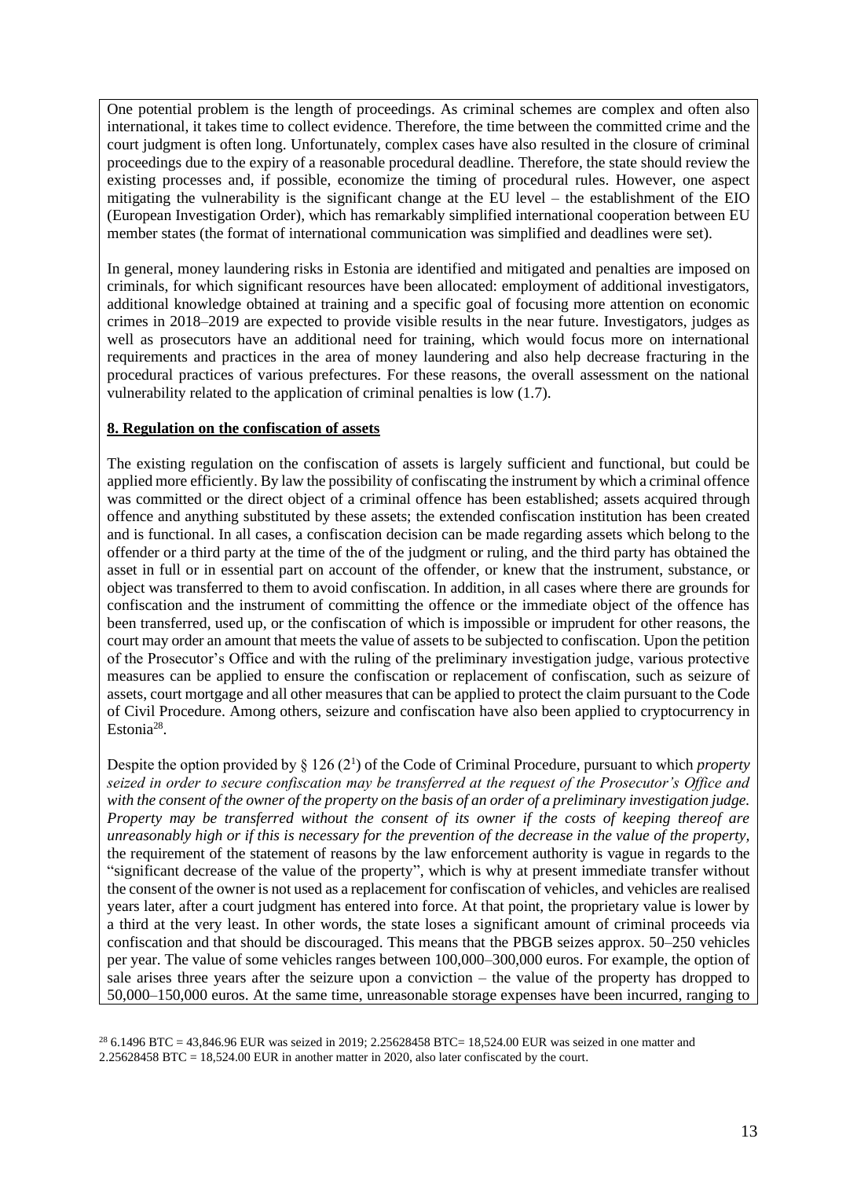One potential problem is the length of proceedings. As criminal schemes are complex and often also international, it takes time to collect evidence. Therefore, the time between the committed crime and the court judgment is often long. Unfortunately, complex cases have also resulted in the closure of criminal proceedings due to the expiry of a reasonable procedural deadline. Therefore, the state should review the existing processes and, if possible, economize the timing of procedural rules. However, one aspect mitigating the vulnerability is the significant change at the EU level – the establishment of the EIO (European Investigation Order), which has remarkably simplified international cooperation between EU member states (the format of international communication was simplified and deadlines were set).

In general, money laundering risks in Estonia are identified and mitigated and penalties are imposed on criminals, for which significant resources have been allocated: employment of additional investigators, additional knowledge obtained at training and a specific goal of focusing more attention on economic crimes in 2018–2019 are expected to provide visible results in the near future. Investigators, judges as well as prosecutors have an additional need for training, which would focus more on international requirements and practices in the area of money laundering and also help decrease fracturing in the procedural practices of various prefectures. For these reasons, the overall assessment on the national vulnerability related to the application of criminal penalties is low (1.7).

#### **8. Regulation on the confiscation of assets**

The existing regulation on the confiscation of assets is largely sufficient and functional, but could be applied more efficiently. By law the possibility of confiscating the instrument by which a criminal offence was committed or the direct object of a criminal offence has been established; assets acquired through offence and anything substituted by these assets; the extended confiscation institution has been created and is functional. In all cases, a confiscation decision can be made regarding assets which belong to the offender or a third party at the time of the of the judgment or ruling, and the third party has obtained the asset in full or in essential part on account of the offender, or knew that the instrument, substance, or object was transferred to them to avoid confiscation. In addition, in all cases where there are grounds for confiscation and the instrument of committing the offence or the immediate object of the offence has been transferred, used up, or the confiscation of which is impossible or imprudent for other reasons, the court may order an amount that meets the value of assets to be subjected to confiscation. Upon the petition of the Prosecutor's Office and with the ruling of the preliminary investigation judge, various protective measures can be applied to ensure the confiscation or replacement of confiscation, such as seizure of assets, court mortgage and all other measures that can be applied to protect the claim pursuant to the Code of Civil Procedure. Among others, seizure and confiscation have also been applied to cryptocurrency in Estonia<sup>28</sup>.

Despite the option provided by § 126 (2<sup>1</sup> ) of the Code of Criminal Procedure, pursuant to which *property seized in order to secure confiscation may be transferred at the request of the Prosecutor's Office and with the consent of the owner of the property on the basis of an order of a preliminary investigation judge. Property may be transferred without the consent of its owner if the costs of keeping thereof are unreasonably high or if this is necessary for the prevention of the decrease in the value of the property,*  the requirement of the statement of reasons by the law enforcement authority is vague in regards to the "significant decrease of the value of the property", which is why at present immediate transfer without the consent of the owner is not used as a replacement for confiscation of vehicles, and vehicles are realised years later, after a court judgment has entered into force. At that point, the proprietary value is lower by a third at the very least. In other words, the state loses a significant amount of criminal proceeds via confiscation and that should be discouraged. This means that the PBGB seizes approx. 50–250 vehicles per year. The value of some vehicles ranges between 100,000–300,000 euros. For example, the option of sale arises three years after the seizure upon a conviction – the value of the property has dropped to 50,000–150,000 euros. At the same time, unreasonable storage expenses have been incurred, ranging to

 $^{28}$  6.1496 BTC = 43,846.96 EUR was seized in 2019; 2.25628458 BTC= 18,524.00 EUR was seized in one matter and 2.25628458 BTC = 18,524.00 EUR in another matter in 2020, also later confiscated by the court.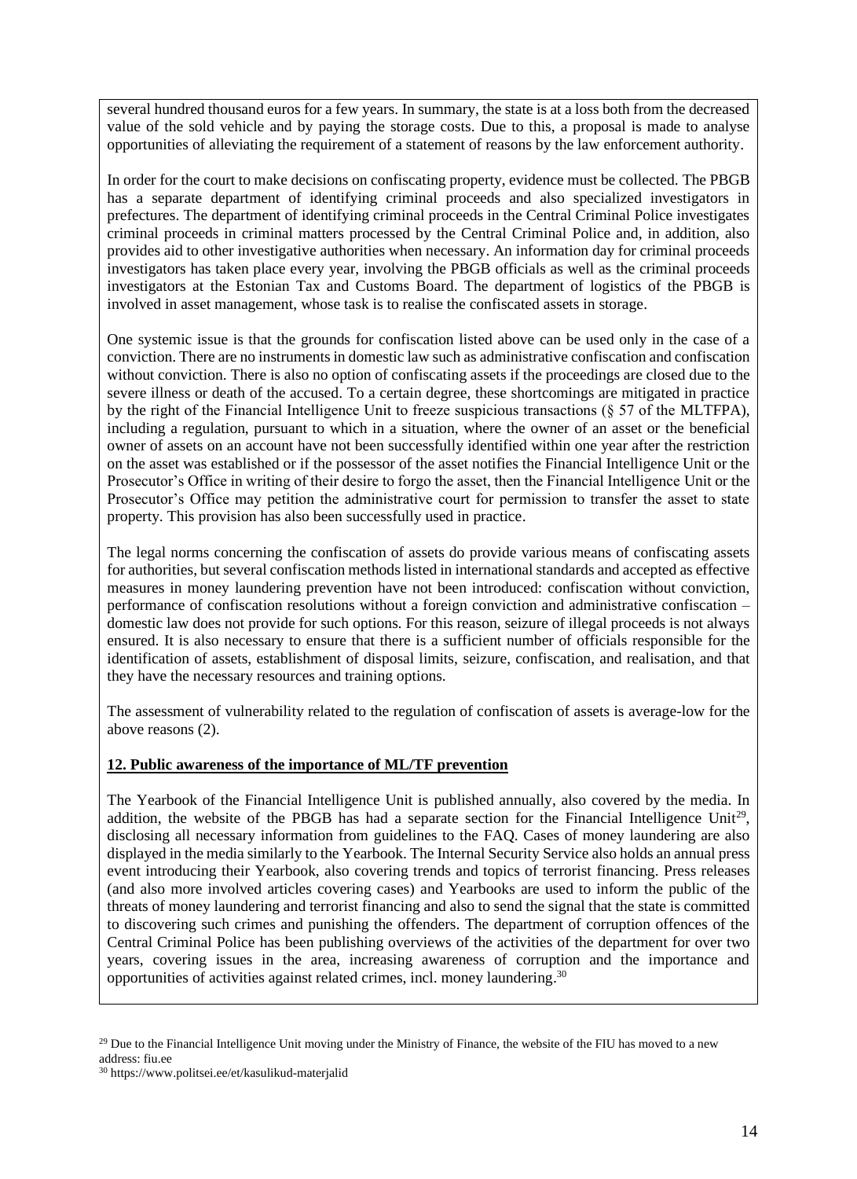several hundred thousand euros for a few years. In summary, the state is at a loss both from the decreased value of the sold vehicle and by paying the storage costs. Due to this, a proposal is made to analyse opportunities of alleviating the requirement of a statement of reasons by the law enforcement authority.

In order for the court to make decisions on confiscating property, evidence must be collected. The PBGB has a separate department of identifying criminal proceeds and also specialized investigators in prefectures. The department of identifying criminal proceeds in the Central Criminal Police investigates criminal proceeds in criminal matters processed by the Central Criminal Police and, in addition, also provides aid to other investigative authorities when necessary. An information day for criminal proceeds investigators has taken place every year, involving the PBGB officials as well as the criminal proceeds investigators at the Estonian Tax and Customs Board. The department of logistics of the PBGB is involved in asset management, whose task is to realise the confiscated assets in storage.

One systemic issue is that the grounds for confiscation listed above can be used only in the case of a conviction. There are no instruments in domestic law such as administrative confiscation and confiscation without conviction. There is also no option of confiscating assets if the proceedings are closed due to the severe illness or death of the accused. To a certain degree, these shortcomings are mitigated in practice by the right of the Financial Intelligence Unit to freeze suspicious transactions (§ 57 of the MLTFPA), including a regulation, pursuant to which in a situation, where the owner of an asset or the beneficial owner of assets on an account have not been successfully identified within one year after the restriction on the asset was established or if the possessor of the asset notifies the Financial Intelligence Unit or the Prosecutor's Office in writing of their desire to forgo the asset, then the Financial Intelligence Unit or the Prosecutor's Office may petition the administrative court for permission to transfer the asset to state property. This provision has also been successfully used in practice.

The legal norms concerning the confiscation of assets do provide various means of confiscating assets for authorities, but several confiscation methods listed in international standards and accepted as effective measures in money laundering prevention have not been introduced: confiscation without conviction, performance of confiscation resolutions without a foreign conviction and administrative confiscation – domestic law does not provide for such options. For this reason, seizure of illegal proceeds is not always ensured. It is also necessary to ensure that there is a sufficient number of officials responsible for the identification of assets, establishment of disposal limits, seizure, confiscation, and realisation, and that they have the necessary resources and training options.

The assessment of vulnerability related to the regulation of confiscation of assets is average-low for the above reasons (2).

## **12. Public awareness of the importance of ML/TF prevention**

The Yearbook of the Financial Intelligence Unit is published annually, also covered by the media. In addition, the website of the PBGB has had a separate section for the Financial Intelligence Unit<sup>29</sup>, disclosing all necessary information from guidelines to the FAQ. Cases of money laundering are also displayed in the media similarly to the Yearbook. The Internal Security Service also holds an annual press event introducing their Yearbook, also covering trends and topics of terrorist financing. Press releases (and also more involved articles covering cases) and Yearbooks are used to inform the public of the threats of money laundering and terrorist financing and also to send the signal that the state is committed to discovering such crimes and punishing the offenders. The department of corruption offences of the Central Criminal Police has been publishing overviews of the activities of the department for over two years, covering issues in the area, increasing awareness of corruption and the importance and opportunities of activities against related crimes, incl. money laundering. 30

 $29$  Due to the Financial Intelligence Unit moving under the Ministry of Finance, the website of the FIU has moved to a new address: fiu.ee

<sup>30</sup> https://www.politsei.ee/et/kasulikud-materjalid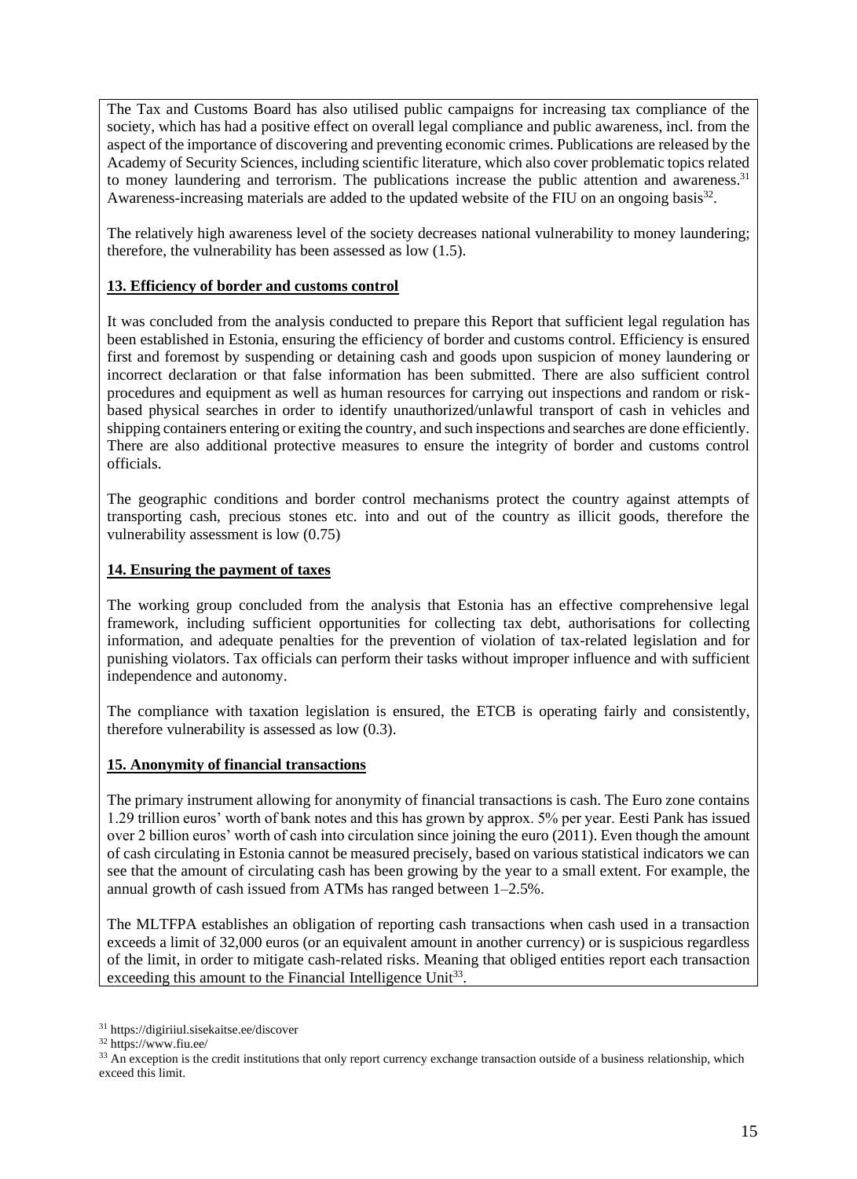The Tax and Customs Board has also utilised public campaigns for increasing tax compliance of the society, which has had a positive effect on overall legal compliance and public awareness, incl. from the aspect of the importance of discovering and preventing economic crimes. Publications are released by the Academy of Security Sciences, including scientific literature, which also cover problematic topics related to money laundering and terrorism. The publications increase the public attention and awareness.<sup>31</sup> Awareness-increasing materials are added to the updated website of the FIU on an ongoing basis<sup>32</sup>.

The relatively high awareness level of the society decreases national vulnerability to money laundering; therefore, the vulnerability has been assessed as low (1.5).

## **13. Efficiency of border and customs control**

It was concluded from the analysis conducted to prepare this Report that sufficient legal regulation has been established in Estonia, ensuring the efficiency of border and customs control. Efficiency is ensured first and foremost by suspending or detaining cash and goods upon suspicion of money laundering or incorrect declaration or that false information has been submitted. There are also sufficient control procedures and equipment as well as human resources for carrying out inspections and random or riskbased physical searches in order to identify unauthorized/unlawful transport of cash in vehicles and shipping containers entering or exiting the country, and such inspections and searches are done efficiently. There are also additional protective measures to ensure the integrity of border and customs control officials.

The geographic conditions and border control mechanisms protect the country against attempts of transporting cash, precious stones etc. into and out of the country as illicit goods, therefore the vulnerability assessment is low (0.75)

## **14. Ensuring the payment of taxes**

The working group concluded from the analysis that Estonia has an effective comprehensive legal framework, including sufficient opportunities for collecting tax debt, authorisations for collecting information, and adequate penalties for the prevention of violation of tax-related legislation and for punishing violators. Tax officials can perform their tasks without improper influence and with sufficient independence and autonomy.

The compliance with taxation legislation is ensured, the ETCB is operating fairly and consistently, therefore vulnerability is assessed as low (0.3).

## **15. Anonymity of financial transactions**

The primary instrument allowing for anonymity of financial transactions is cash. The Euro zone contains 1.29 trillion euros' worth of bank notes and this has grown by approx. 5% per year. Eesti Pank has issued over 2 billion euros' worth of cash into circulation since joining the euro (2011). Even though the amount of cash circulating in Estonia cannot be measured precisely, based on various statistical indicators we can see that the amount of circulating cash has been growing by the year to a small extent. For example, the annual growth of cash issued from ATMs has ranged between 1–2.5%.

The MLTFPA establishes an obligation of reporting cash transactions when cash used in a transaction exceeds a limit of 32,000 euros (or an equivalent amount in another currency) or is suspicious regardless of the limit, in order to mitigate cash-related risks. Meaning that obliged entities report each transaction exceeding this amount to the Financial Intelligence Unit<sup>33</sup>.

<sup>31</sup> https://digiriiul.sisekaitse.ee/discover

<sup>32</sup> https://www.fiu.ee/

<sup>&</sup>lt;sup>33</sup> An exception is the credit institutions that only report currency exchange transaction outside of a business relationship, which exceed this limit.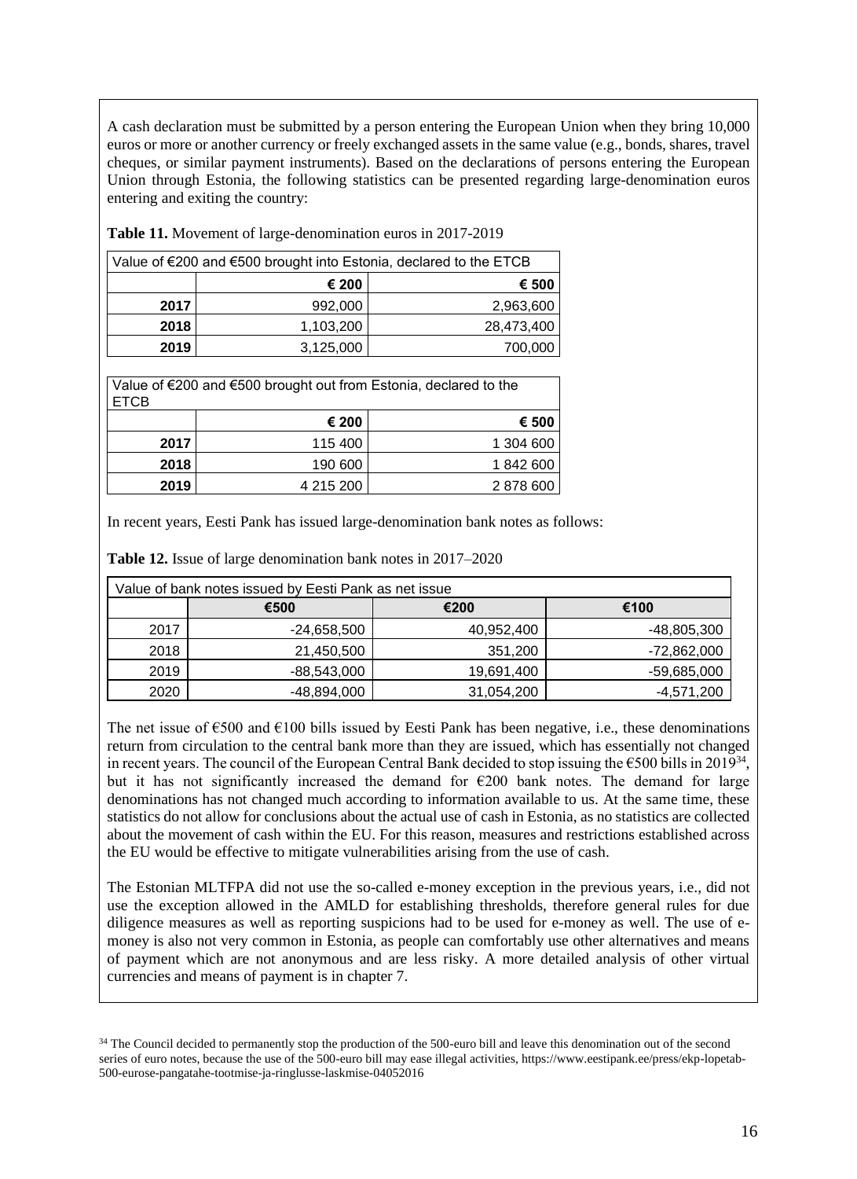A cash declaration must be submitted by a person entering the European Union when they bring 10,000 euros or more or another currency or freely exchanged assets in the same value (e.g., bonds, shares, travel cheques, or similar payment instruments). Based on the declarations of persons entering the European Union through Estonia, the following statistics can be presented regarding large-denomination euros entering and exiting the country:

| Value of €200 and €500 brought into Estonia, declared to the ETCB |                |            |  |
|-------------------------------------------------------------------|----------------|------------|--|
|                                                                   | € 200<br>€ 500 |            |  |
| 2017                                                              | 992,000        | 2,963,600  |  |
| 2018                                                              | 1,103,200      | 28,473,400 |  |
| 2019                                                              | 3,125,000      | 700,000    |  |

**Table 11.** Movement of large-denomination euros in 2017-2019

Value of €200 and €500 brought out from Estonia, declared to the ETCB

|      | € 200     | € 500     |
|------|-----------|-----------|
| 2017 | 115 400   | 1 304 600 |
| 2018 | 190 600   | 1842600   |
| 2019 | 4 215 200 | 2878600   |

In recent years, Eesti Pank has issued large-denomination bank notes as follows:

**Table 12.** Issue of large denomination bank notes in 2017–2020

| Value of bank notes issued by Eesti Pank as net issue |               |            |             |
|-------------------------------------------------------|---------------|------------|-------------|
|                                                       | €500          | €200       | €100        |
| 2017                                                  | -24,658,500   | 40,952,400 | -48,805,300 |
| 2018                                                  | 21,450,500    | 351,200    | -72,862,000 |
| 2019                                                  | $-88,543,000$ | 19,691,400 | -59,685,000 |
| 2020                                                  | -48,894,000   | 31,054,200 | -4,571,200  |

The net issue of  $\epsilon$ 500 and  $\epsilon$ 100 bills issued by Eesti Pank has been negative, i.e., these denominations return from circulation to the central bank more than they are issued, which has essentially not changed in recent years. The council of the European Central Bank decided to stop issuing the  $\epsilon$ 500 bills in 2019<sup>34</sup>, but it has not significantly increased the demand for  $\epsilon$ 200 bank notes. The demand for large denominations has not changed much according to information available to us. At the same time, these statistics do not allow for conclusions about the actual use of cash in Estonia, as no statistics are collected about the movement of cash within the EU. For this reason, measures and restrictions established across the EU would be effective to mitigate vulnerabilities arising from the use of cash.

The Estonian MLTFPA did not use the so-called e-money exception in the previous years, i.e., did not use the exception allowed in the AMLD for establishing thresholds, therefore general rules for due diligence measures as well as reporting suspicions had to be used for e-money as well. The use of emoney is also not very common in Estonia, as people can comfortably use other alternatives and means of payment which are not anonymous and are less risky. A more detailed analysis of other virtual currencies and means of payment is in chapter 7.

<sup>&</sup>lt;sup>34</sup> The Council decided to permanently stop the production of the 500-euro bill and leave this denomination out of the second series of euro notes, because the use of the 500-euro bill may ease illegal activities, https://www.eestipank.ee/press/ekp-lopetab-500-eurose-pangatahe-tootmise-ja-ringlusse-laskmise-04052016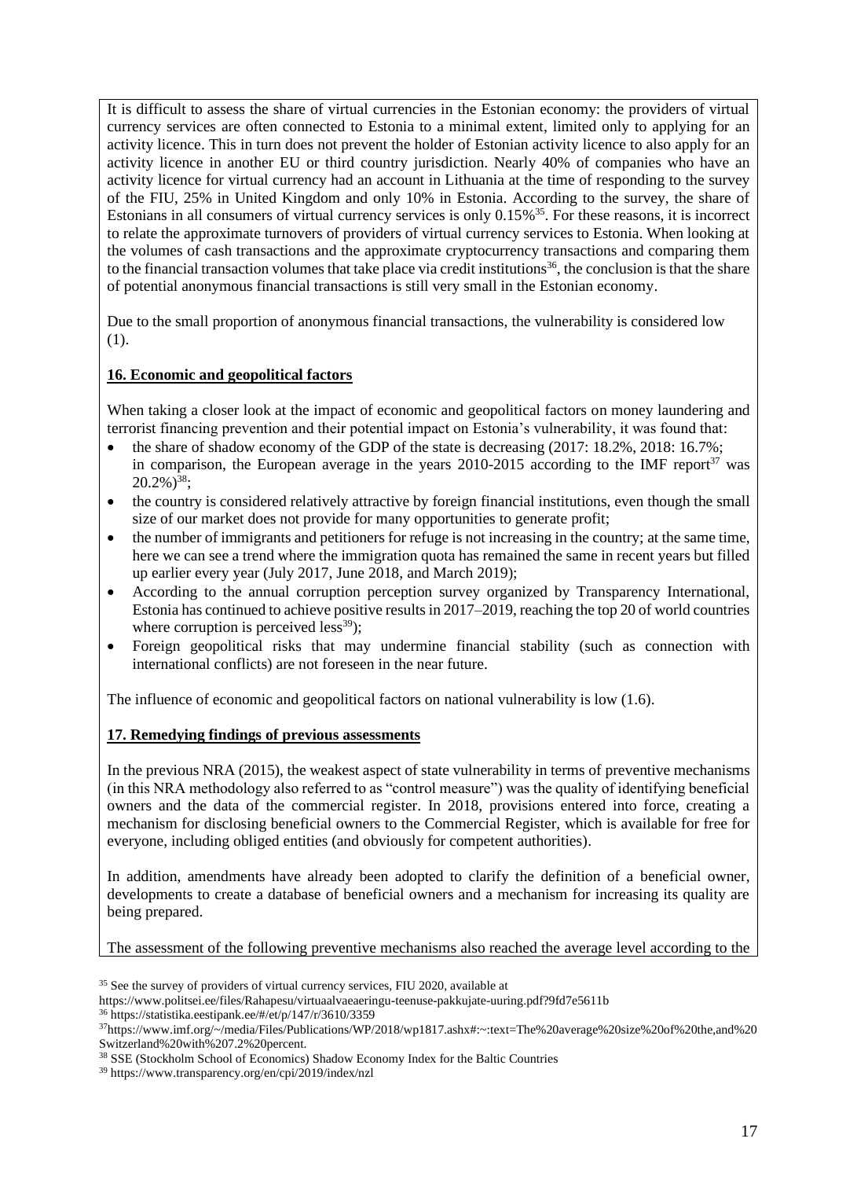It is difficult to assess the share of virtual currencies in the Estonian economy: the providers of virtual currency services are often connected to Estonia to a minimal extent, limited only to applying for an activity licence. This in turn does not prevent the holder of Estonian activity licence to also apply for an activity licence in another EU or third country jurisdiction. Nearly 40% of companies who have an activity licence for virtual currency had an account in Lithuania at the time of responding to the survey of the FIU, 25% in United Kingdom and only 10% in Estonia. According to the survey, the share of Estonians in all consumers of virtual currency services is only 0.15%<sup>35</sup>. For these reasons, it is incorrect to relate the approximate turnovers of providers of virtual currency services to Estonia. When looking at the volumes of cash transactions and the approximate cryptocurrency transactions and comparing them to the financial transaction volumes that take place via credit institutions<sup>36</sup>, the conclusion is that the share of potential anonymous financial transactions is still very small in the Estonian economy.

Due to the small proportion of anonymous financial transactions, the vulnerability is considered low (1).

## **16. Economic and geopolitical factors**

When taking a closer look at the impact of economic and geopolitical factors on money laundering and terrorist financing prevention and their potential impact on Estonia's vulnerability, it was found that:

- the share of shadow economy of the GDP of the state is decreasing  $(2017: 18.2\%, 2018: 16.7\%;$ in comparison, the European average in the years  $2010$ - $2015$  according to the IMF report<sup>37</sup> was  $20.2\%)^{38}$ ;
- the country is considered relatively attractive by foreign financial institutions, even though the small size of our market does not provide for many opportunities to generate profit;
- the number of immigrants and petitioners for refuge is not increasing in the country; at the same time, here we can see a trend where the immigration quota has remained the same in recent years but filled up earlier every year (July 2017, June 2018, and March 2019);
- According to the annual corruption perception survey organized by Transparency International, Estonia has continued to achieve positive results in 2017–2019, reaching the top 20 of world countries where corruption is perceived less<sup>39</sup>);
- Foreign geopolitical risks that may undermine financial stability (such as connection with international conflicts) are not foreseen in the near future.

The influence of economic and geopolitical factors on national vulnerability is low (1.6).

## **17. Remedying findings of previous assessments**

In the previous NRA (2015), the weakest aspect of state vulnerability in terms of preventive mechanisms (in this NRA methodology also referred to as "control measure") was the quality of identifying beneficial owners and the data of the commercial register. In 2018, provisions entered into force, creating a mechanism for disclosing beneficial owners to the Commercial Register, which is available for free for everyone, including obliged entities (and obviously for competent authorities).

In addition, amendments have already been adopted to clarify the definition of a beneficial owner, developments to create a database of beneficial owners and a mechanism for increasing its quality are being prepared.

The assessment of the following preventive mechanisms also reached the average level according to the

<sup>&</sup>lt;sup>35</sup> See the survey of providers of virtual currency services, FIU 2020, available at

https://www.politsei.ee/files/Rahapesu/virtuaalvaeaeringu-teenuse-pakkujate-uuring.pdf?9fd7e5611b

<sup>36</sup> https://statistika.eestipank.ee/#/et/p/147/r/3610/3359

<sup>37</sup>https://www.imf.org/~/media/Files/Publications/WP/2018/wp1817.ashx#:~:text=The%20average%20size%20of%20the,and%20 Switzerland%20with%207.2%20percent.

<sup>38</sup> SSE (Stockholm School of Economics) Shadow Economy Index for the Baltic Countries

<sup>39</sup> https://www.transparency.org/en/cpi/2019/index/nzl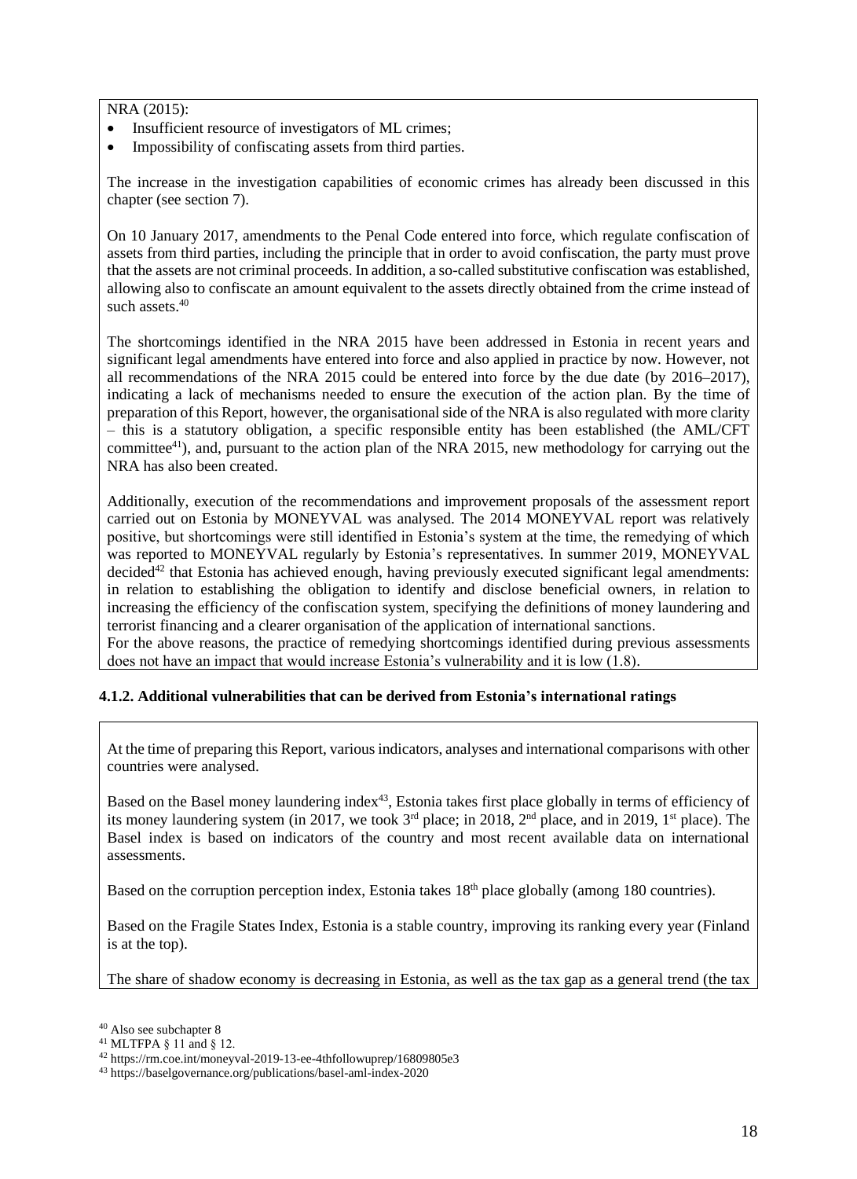### NRA (2015):

- Insufficient resource of investigators of ML crimes;
- Impossibility of confiscating assets from third parties.

The increase in the investigation capabilities of economic crimes has already been discussed in this chapter (see section 7).

On 10 January 2017, amendments to the Penal Code entered into force, which regulate confiscation of assets from third parties, including the principle that in order to avoid confiscation, the party must prove that the assets are not criminal proceeds. In addition, a so-called substitutive confiscation was established, allowing also to confiscate an amount equivalent to the assets directly obtained from the crime instead of such assets. 40

The shortcomings identified in the NRA 2015 have been addressed in Estonia in recent years and significant legal amendments have entered into force and also applied in practice by now. However, not all recommendations of the NRA 2015 could be entered into force by the due date (by 2016–2017), indicating a lack of mechanisms needed to ensure the execution of the action plan. By the time of preparation of this Report, however, the organisational side of the NRA is also regulated with more clarity – this is a statutory obligation, a specific responsible entity has been established (the AML/CFT committee<sup>41</sup>), and, pursuant to the action plan of the NRA 2015, new methodology for carrying out the NRA has also been created.

Additionally, execution of the recommendations and improvement proposals of the assessment report carried out on Estonia by MONEYVAL was analysed. The 2014 MONEYVAL report was relatively positive, but shortcomings were still identified in Estonia's system at the time, the remedying of which was reported to MONEYVAL regularly by Estonia's representatives. In summer 2019, MONEYVAL decided<sup>42</sup> that Estonia has achieved enough, having previously executed significant legal amendments: in relation to establishing the obligation to identify and disclose beneficial owners, in relation to increasing the efficiency of the confiscation system, specifying the definitions of money laundering and terrorist financing and a clearer organisation of the application of international sanctions. For the above reasons, the practice of remedying shortcomings identified during previous assessments

does not have an impact that would increase Estonia's vulnerability and it is low (1.8).

## **4.1.2. Additional vulnerabilities that can be derived from Estonia's international ratings**

At the time of preparing this Report, various indicators, analyses and international comparisons with other countries were analysed.

Based on the Basel money laundering index<sup>43</sup>, Estonia takes first place globally in terms of efficiency of its money laundering system (in 2017, we took  $3<sup>rd</sup>$  place; in 2018,  $2<sup>nd</sup>$  place, and in 2019, 1<sup>st</sup> place). The Basel index is based on indicators of the country and most recent available data on international assessments.

Based on the corruption perception index, Estonia takes 18<sup>th</sup> place globally (among 180 countries).

Based on the Fragile States Index, Estonia is a stable country, improving its ranking every year (Finland is at the top).

The share of shadow economy is decreasing in Estonia, as well as the tax gap as a general trend (the tax

<sup>40</sup> Also see subchapter 8

<sup>41</sup> MLTFPA § 11 and § 12.

<sup>42</sup> https://rm.coe.int/moneyval-2019-13-ee-4thfollowuprep/16809805e3

<sup>43</sup> https://baselgovernance.org/publications/basel-aml-index-2020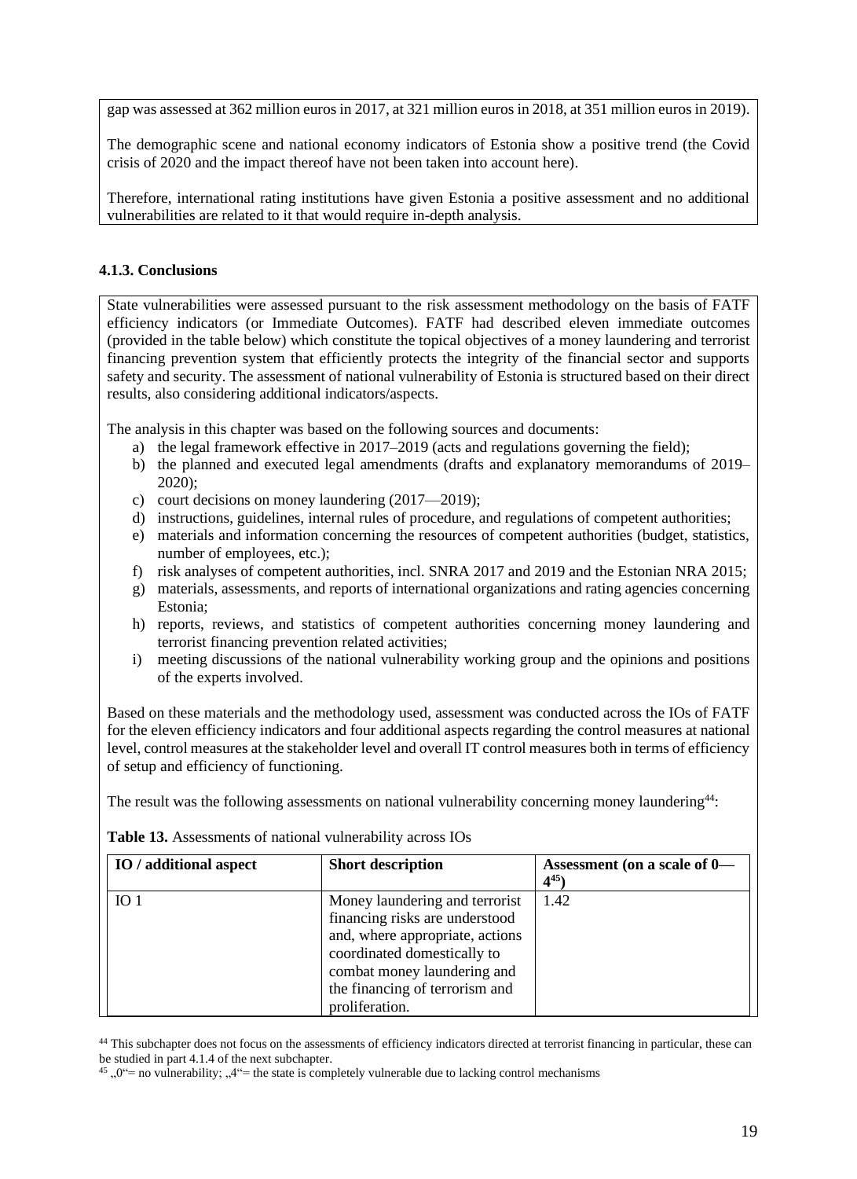gap was assessed at 362 million euros in 2017, at 321 million euros in 2018, at 351 million euros in 2019).

The demographic scene and national economy indicators of Estonia show a positive trend (the Covid crisis of 2020 and the impact thereof have not been taken into account here).

Therefore, international rating institutions have given Estonia a positive assessment and no additional vulnerabilities are related to it that would require in-depth analysis.

### **4.1.3. Conclusions**

State vulnerabilities were assessed pursuant to the risk assessment methodology on the basis of FATF efficiency indicators (or Immediate Outcomes). FATF had described eleven immediate outcomes (provided in the table below) which constitute the topical objectives of a money laundering and terrorist financing prevention system that efficiently protects the integrity of the financial sector and supports safety and security. The assessment of national vulnerability of Estonia is structured based on their direct results, also considering additional indicators/aspects.

The analysis in this chapter was based on the following sources and documents:

- a) the legal framework effective in 2017–2019 (acts and regulations governing the field);
- b) the planned and executed legal amendments (drafts and explanatory memorandums of 2019–  $2020$ :
- c) court decisions on money laundering (2017—2019);
- d) instructions, guidelines, internal rules of procedure, and regulations of competent authorities;
- e) materials and information concerning the resources of competent authorities (budget, statistics, number of employees, etc.);
- f) risk analyses of competent authorities, incl. SNRA 2017 and 2019 and the Estonian NRA 2015;
- g) materials, assessments, and reports of international organizations and rating agencies concerning Estonia;
- h) reports, reviews, and statistics of competent authorities concerning money laundering and terrorist financing prevention related activities;
- i) meeting discussions of the national vulnerability working group and the opinions and positions of the experts involved.

Based on these materials and the methodology used, assessment was conducted across the IOs of FATF for the eleven efficiency indicators and four additional aspects regarding the control measures at national level, control measures at the stakeholder level and overall IT control measures both in terms of efficiency of setup and efficiency of functioning.

The result was the following assessments on national vulnerability concerning money laundering<sup>44</sup>:

| IO / additional aspect | <b>Short description</b>                                                                                                                                                                                              | Assessment (on a scale of 0-<br>$4^{45}$ |
|------------------------|-----------------------------------------------------------------------------------------------------------------------------------------------------------------------------------------------------------------------|------------------------------------------|
| IO <sub>1</sub>        | Money laundering and terrorist<br>financing risks are understood<br>and, where appropriate, actions<br>coordinated domestically to<br>combat money laundering and<br>the financing of terrorism and<br>proliferation. | 1.42                                     |

**Table 13.** Assessments of national vulnerability across IOs

<sup>44</sup> This subchapter does not focus on the assessments of efficiency indicators directed at terrorist financing in particular, these can be studied in part 4.1.4 of the next subchapter.

<sup>45</sup>,  $0^{\omega}$  = no vulnerability;  $.4^{\omega}$  = the state is completely vulnerable due to lacking control mechanisms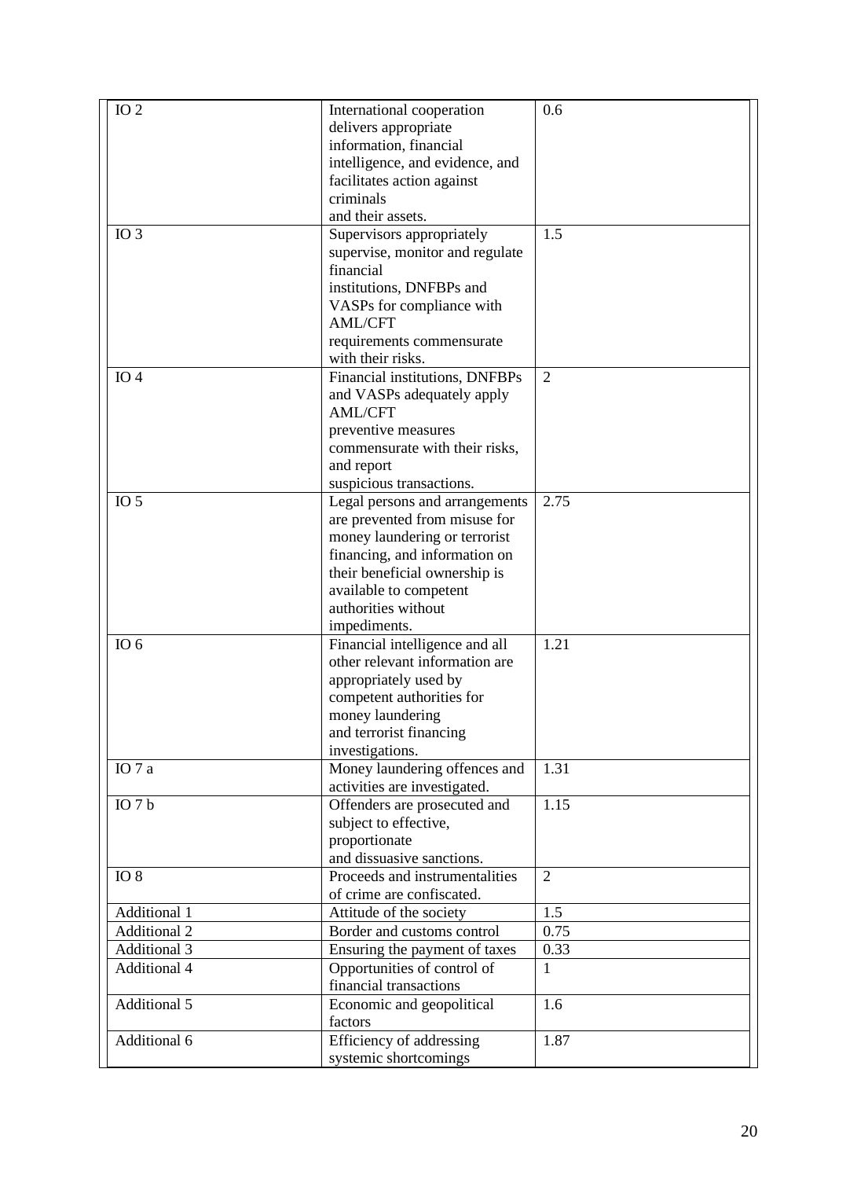| $IO$ $2$              | International cooperation       | 0.6            |
|-----------------------|---------------------------------|----------------|
|                       | delivers appropriate            |                |
|                       | information, financial          |                |
|                       | intelligence, and evidence, and |                |
|                       | facilitates action against      |                |
|                       | criminals                       |                |
|                       | and their assets.               |                |
| $IO$ 3                | Supervisors appropriately       | 1.5            |
|                       | supervise, monitor and regulate |                |
|                       | financial                       |                |
|                       | institutions, DNFBPs and        |                |
|                       | VASPs for compliance with       |                |
|                       | <b>AML/CFT</b>                  |                |
|                       | requirements commensurate       |                |
|                       | with their risks.               |                |
|                       |                                 | $\overline{2}$ |
| IO <sub>4</sub>       | Financial institutions, DNFBPs  |                |
|                       | and VASPs adequately apply      |                |
|                       | <b>AML/CFT</b>                  |                |
|                       | preventive measures             |                |
|                       | commensurate with their risks,  |                |
|                       | and report                      |                |
|                       | suspicious transactions.        |                |
| IO <sub>5</sub>       | Legal persons and arrangements  | 2.75           |
|                       | are prevented from misuse for   |                |
|                       | money laundering or terrorist   |                |
|                       | financing, and information on   |                |
|                       | their beneficial ownership is   |                |
|                       | available to competent          |                |
|                       | authorities without             |                |
|                       | impediments.                    |                |
| IO $6$                | Financial intelligence and all  | 1.21           |
|                       | other relevant information are  |                |
|                       | appropriately used by           |                |
|                       | competent authorities for       |                |
|                       | money laundering                |                |
|                       | and terrorist financing         |                |
|                       | investigations.                 |                |
| IO 7 a                | Money laundering offences and   | 1.31           |
|                       | activities are investigated.    |                |
| $\overline{IO}$ 7 $b$ | Offenders are prosecuted and    | 1.15           |
|                       | subject to effective,           |                |
|                       | proportionate                   |                |
|                       | and dissuasive sanctions.       |                |
| $IO$ $8$              | Proceeds and instrumentalities  | $\overline{2}$ |
|                       | of crime are confiscated.       |                |
|                       |                                 | 1.5            |
| <b>Additional 1</b>   | Attitude of the society         |                |
| <b>Additional 2</b>   | Border and customs control      | 0.75           |
| <b>Additional 3</b>   | Ensuring the payment of taxes   | 0.33           |
| <b>Additional 4</b>   | Opportunities of control of     | $\mathbf{1}$   |
|                       | financial transactions          |                |
| Additional 5          | Economic and geopolitical       | 1.6            |
|                       | factors                         |                |
| Additional 6          | Efficiency of addressing        | 1.87           |
|                       | systemic shortcomings           |                |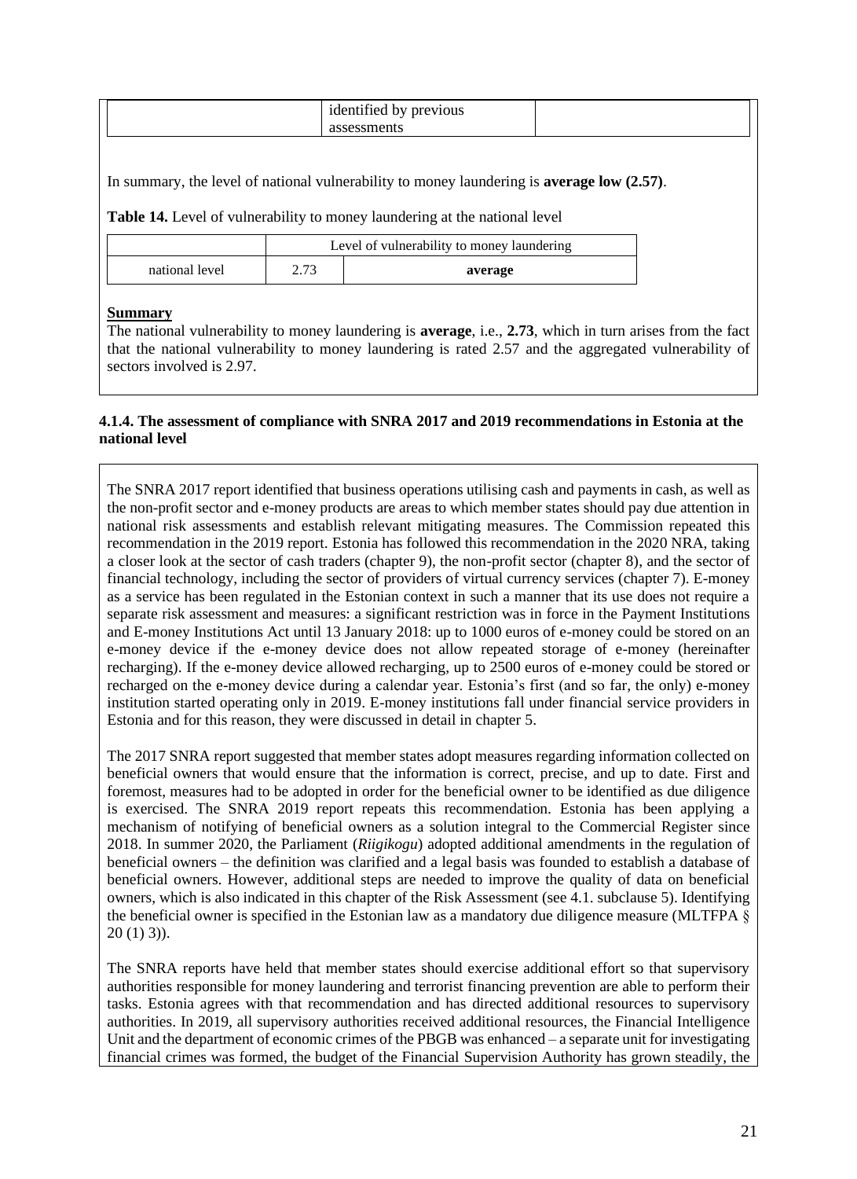| $\sim$<br>previous<br>″۵∩<br>hv<br>ັ<br>$\sim$ |  |
|------------------------------------------------|--|
|                                                |  |

In summary, the level of national vulnerability to money laundering is **average low (2.57)**.

**Table 14.** Level of vulnerability to money laundering at the national level

|                | Level of vulnerability to money laundering |         |
|----------------|--------------------------------------------|---------|
| national level | 2.73                                       | average |

#### **Summary**

The national vulnerability to money laundering is **average**, i.e., **2.73**, which in turn arises from the fact that the national vulnerability to money laundering is rated 2.57 and the aggregated vulnerability of sectors involved is 2.97.

#### **4.1.4. The assessment of compliance with SNRA 2017 and 2019 recommendations in Estonia at the national level**

The SNRA 2017 report identified that business operations utilising cash and payments in cash, as well as the non-profit sector and e-money products are areas to which member states should pay due attention in national risk assessments and establish relevant mitigating measures. The Commission repeated this recommendation in the 2019 report. Estonia has followed this recommendation in the 2020 NRA, taking a closer look at the sector of cash traders (chapter 9), the non-profit sector (chapter 8), and the sector of financial technology, including the sector of providers of virtual currency services (chapter 7). E-money as a service has been regulated in the Estonian context in such a manner that its use does not require a separate risk assessment and measures: a significant restriction was in force in the Payment Institutions and E-money Institutions Act until 13 January 2018: up to 1000 euros of e-money could be stored on an e-money device if the e-money device does not allow repeated storage of e-money (hereinafter recharging). If the e-money device allowed recharging, up to 2500 euros of e-money could be stored or recharged on the e-money device during a calendar year. Estonia's first (and so far, the only) e-money institution started operating only in 2019. E-money institutions fall under financial service providers in Estonia and for this reason, they were discussed in detail in chapter 5.

The 2017 SNRA report suggested that member states adopt measures regarding information collected on beneficial owners that would ensure that the information is correct, precise, and up to date. First and foremost, measures had to be adopted in order for the beneficial owner to be identified as due diligence is exercised. The SNRA 2019 report repeats this recommendation. Estonia has been applying a mechanism of notifying of beneficial owners as a solution integral to the Commercial Register since 2018. In summer 2020, the Parliament (*Riigikogu*) adopted additional amendments in the regulation of beneficial owners – the definition was clarified and a legal basis was founded to establish a database of beneficial owners. However, additional steps are needed to improve the quality of data on beneficial owners, which is also indicated in this chapter of the Risk Assessment (see 4.1. subclause 5). Identifying the beneficial owner is specified in the Estonian law as a mandatory due diligence measure (MLTFPA §  $20(1)3$ ).

The SNRA reports have held that member states should exercise additional effort so that supervisory authorities responsible for money laundering and terrorist financing prevention are able to perform their tasks. Estonia agrees with that recommendation and has directed additional resources to supervisory authorities. In 2019, all supervisory authorities received additional resources, the Financial Intelligence Unit and the department of economic crimes of the PBGB was enhanced – a separate unit for investigating financial crimes was formed, the budget of the Financial Supervision Authority has grown steadily, the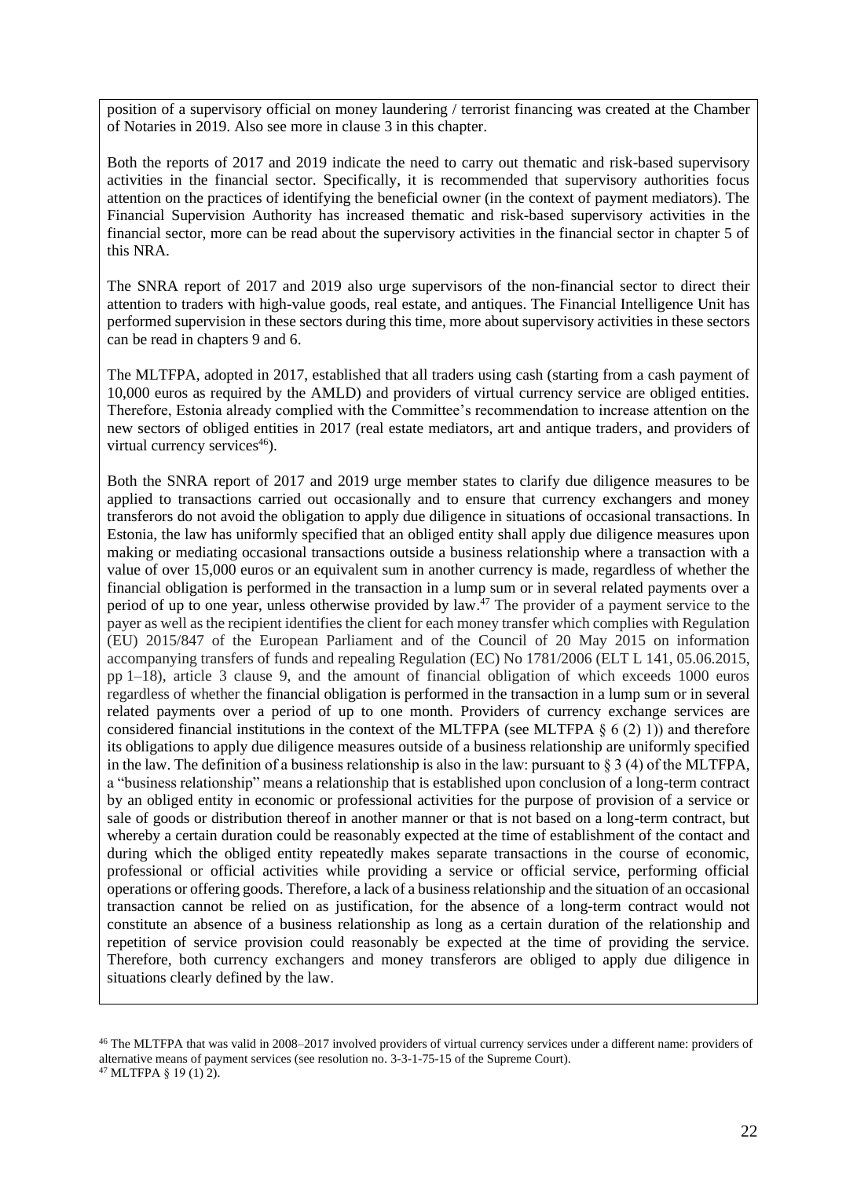position of a supervisory official on money laundering / terrorist financing was created at the Chamber of Notaries in 2019. Also see more in clause 3 in this chapter.

Both the reports of 2017 and 2019 indicate the need to carry out thematic and risk-based supervisory activities in the financial sector. Specifically, it is recommended that supervisory authorities focus attention on the practices of identifying the beneficial owner (in the context of payment mediators). The Financial Supervision Authority has increased thematic and risk-based supervisory activities in the financial sector, more can be read about the supervisory activities in the financial sector in chapter 5 of this NRA.

The SNRA report of 2017 and 2019 also urge supervisors of the non-financial sector to direct their attention to traders with high-value goods, real estate, and antiques. The Financial Intelligence Unit has performed supervision in these sectors during this time, more about supervisory activities in these sectors can be read in chapters 9 and 6.

The MLTFPA, adopted in 2017, established that all traders using cash (starting from a cash payment of 10,000 euros as required by the AMLD) and providers of virtual currency service are obliged entities. Therefore, Estonia already complied with the Committee's recommendation to increase attention on the new sectors of obliged entities in 2017 (real estate mediators, art and antique traders, and providers of virtual currency services $46$ ).

Both the SNRA report of 2017 and 2019 urge member states to clarify due diligence measures to be applied to transactions carried out occasionally and to ensure that currency exchangers and money transferors do not avoid the obligation to apply due diligence in situations of occasional transactions. In Estonia, the law has uniformly specified that an obliged entity shall apply due diligence measures upon making or mediating occasional transactions outside a business relationship where a transaction with a value of over 15,000 euros or an equivalent sum in another currency is made, regardless of whether the financial obligation is performed in the transaction in a lump sum or in several related payments over a period of up to one year, unless otherwise provided by law.<sup>47</sup> The provider of a payment service to the payer as well as the recipient identifies the client for each money transfer which complies with Regulation (EU) 2015/847 of the European Parliament and of the Council of 20 May 2015 on information accompanying transfers of funds and repealing Regulation (EC) No 1781/2006 (ELT L 141, 05.06.2015, pp 1–18), article 3 clause 9, and the amount of financial obligation of which exceeds 1000 euros regardless of whether the financial obligation is performed in the transaction in a lump sum or in several related payments over a period of up to one month. Providers of currency exchange services are considered financial institutions in the context of the MLTFPA (see MLTFPA  $\S 6 (2) 1$ )) and therefore its obligations to apply due diligence measures outside of a business relationship are uniformly specified in the law. The definition of a business relationship is also in the law: pursuant to  $\S 3$  (4) of the MLTFPA, a "business relationship" means a relationship that is established upon conclusion of a long-term contract by an obliged entity in economic or professional activities for the purpose of provision of a service or sale of goods or distribution thereof in another manner or that is not based on a long-term contract, but whereby a certain duration could be reasonably expected at the time of establishment of the contact and during which the obliged entity repeatedly makes separate transactions in the course of economic, professional or official activities while providing a service or official service, performing official operations or offering goods. Therefore, a lack of a business relationship and the situation of an occasional transaction cannot be relied on as justification, for the absence of a long-term contract would not constitute an absence of a business relationship as long as a certain duration of the relationship and repetition of service provision could reasonably be expected at the time of providing the service. Therefore, both currency exchangers and money transferors are obliged to apply due diligence in situations clearly defined by the law.

<sup>46</sup> The MLTFPA that was valid in 2008–2017 involved providers of virtual currency services under a different name: providers of alternative means of payment services (see resolution no. 3-3-1-75-15 of the Supreme Court). <sup>47</sup> MLTFPA § 19 (1) 2).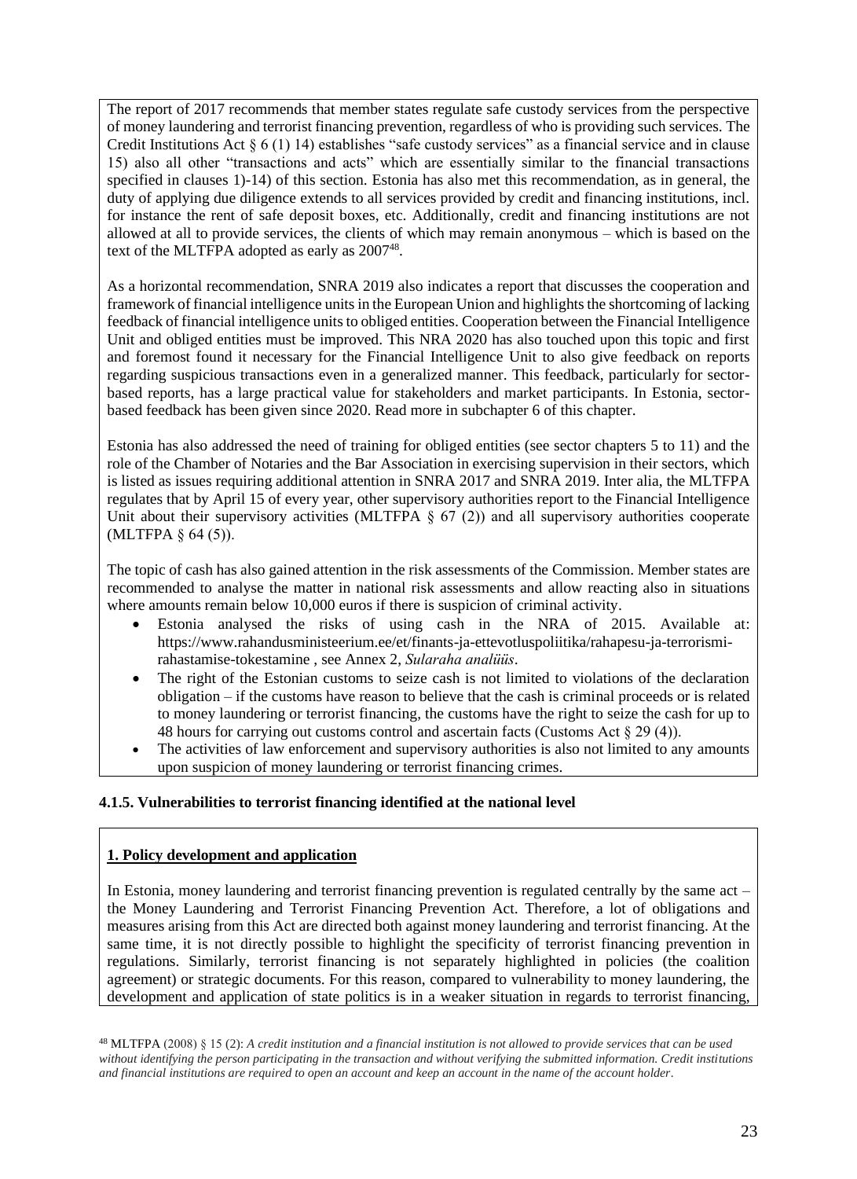The report of 2017 recommends that member states regulate safe custody services from the perspective of money laundering and terrorist financing prevention, regardless of who is providing such services. The Credit Institutions Act § 6 (1) 14) establishes "safe custody services" as a financial service and in clause 15) also all other "transactions and acts" which are essentially similar to the financial transactions specified in clauses 1)-14) of this section. Estonia has also met this recommendation, as in general, the duty of applying due diligence extends to all services provided by credit and financing institutions, incl. for instance the rent of safe deposit boxes, etc. Additionally, credit and financing institutions are not allowed at all to provide services, the clients of which may remain anonymous – which is based on the text of the MLTFPA adopted as early as  $2007^{48}$ .

As a horizontal recommendation, SNRA 2019 also indicates a report that discusses the cooperation and framework of financial intelligence units in the European Union and highlights the shortcoming of lacking feedback of financial intelligence units to obliged entities. Cooperation between the Financial Intelligence Unit and obliged entities must be improved. This NRA 2020 has also touched upon this topic and first and foremost found it necessary for the Financial Intelligence Unit to also give feedback on reports regarding suspicious transactions even in a generalized manner. This feedback, particularly for sectorbased reports, has a large practical value for stakeholders and market participants. In Estonia, sectorbased feedback has been given since 2020. Read more in subchapter 6 of this chapter.

Estonia has also addressed the need of training for obliged entities (see sector chapters 5 to 11) and the role of the Chamber of Notaries and the Bar Association in exercising supervision in their sectors, which is listed as issues requiring additional attention in SNRA 2017 and SNRA 2019. Inter alia, the MLTFPA regulates that by April 15 of every year, other supervisory authorities report to the Financial Intelligence Unit about their supervisory activities (MLTFPA  $\S$  67 (2)) and all supervisory authorities cooperate (MLTFPA § 64 (5)).

The topic of cash has also gained attention in the risk assessments of the Commission. Member states are recommended to analyse the matter in national risk assessments and allow reacting also in situations where amounts remain below 10,000 euros if there is suspicion of criminal activity.

- Estonia analysed the risks of using cash in the NRA of 2015. Available at: https://www.rahandusministeerium.ee/et/finants-ja-ettevotluspoliitika/rahapesu-ja-terrorismirahastamise-tokestamine , see Annex 2, *Sularaha analüüs*.
- The right of the Estonian customs to seize cash is not limited to violations of the declaration obligation – if the customs have reason to believe that the cash is criminal proceeds or is related to money laundering or terrorist financing, the customs have the right to seize the cash for up to 48 hours for carrying out customs control and ascertain facts (Customs Act § 29 (4)).
- The activities of law enforcement and supervisory authorities is also not limited to any amounts upon suspicion of money laundering or terrorist financing crimes.

## **4.1.5. Vulnerabilities to terrorist financing identified at the national level**

## **1. Policy development and application**

In Estonia, money laundering and terrorist financing prevention is regulated centrally by the same act – the Money Laundering and Terrorist Financing Prevention Act. Therefore, a lot of obligations and measures arising from this Act are directed both against money laundering and terrorist financing. At the same time, it is not directly possible to highlight the specificity of terrorist financing prevention in regulations. Similarly, terrorist financing is not separately highlighted in policies (the coalition agreement) or strategic documents. For this reason, compared to vulnerability to money laundering, the development and application of state politics is in a weaker situation in regards to terrorist financing,

<sup>48</sup> MLTFPA (2008) § 15 (2): *A credit institution and a financial institution is not allowed to provide services that can be used without identifying the person participating in the transaction and without verifying the submitted information. Credit institutions and financial institutions are required to open an account and keep an account in the name of the account holder.*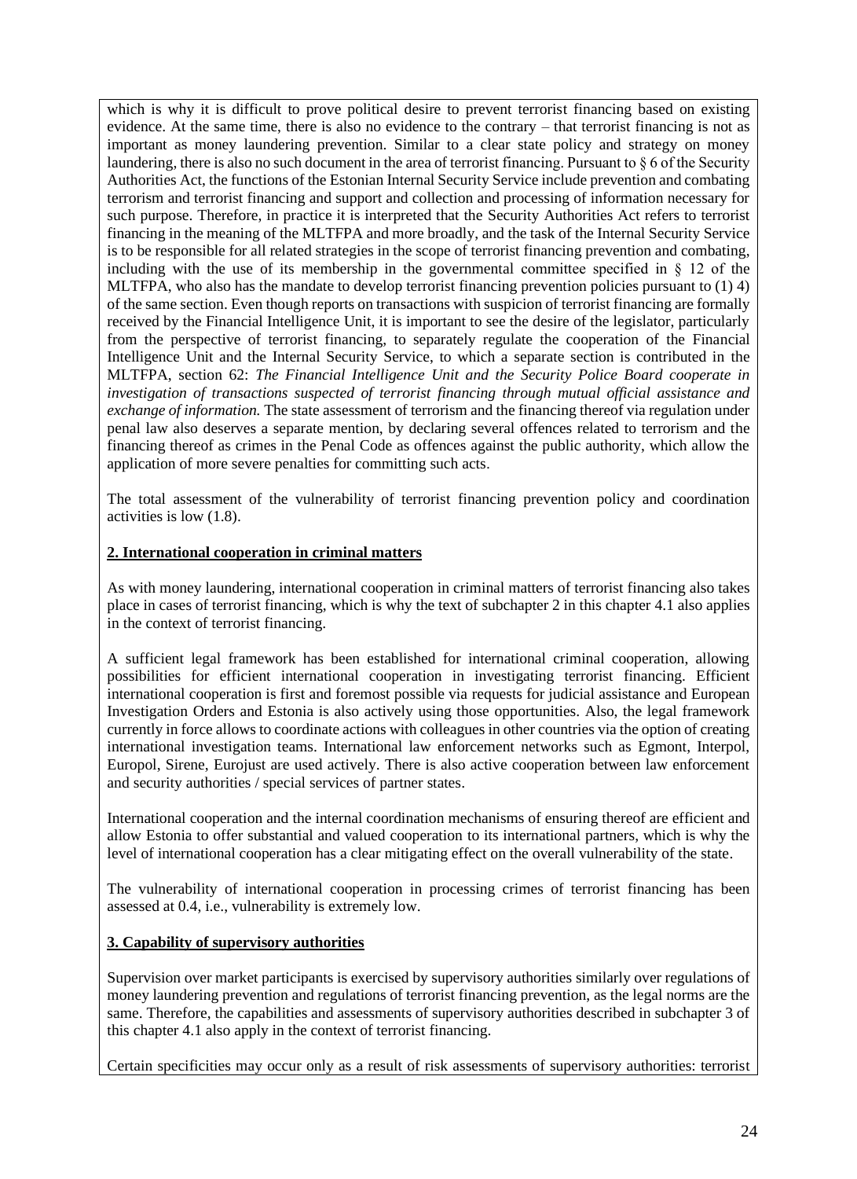which is why it is difficult to prove political desire to prevent terrorist financing based on existing evidence. At the same time, there is also no evidence to the contrary – that terrorist financing is not as important as money laundering prevention. Similar to a clear state policy and strategy on money laundering, there is also no such document in the area of terrorist financing. Pursuant to § 6 of the Security Authorities Act, the functions of the Estonian Internal Security Service include prevention and combating terrorism and terrorist financing and support and collection and processing of information necessary for such purpose. Therefore, in practice it is interpreted that the Security Authorities Act refers to terrorist financing in the meaning of the MLTFPA and more broadly, and the task of the Internal Security Service is to be responsible for all related strategies in the scope of terrorist financing prevention and combating, including with the use of its membership in the governmental committee specified in  $\S$  12 of the MLTFPA, who also has the mandate to develop terrorist financing prevention policies pursuant to (1) 4) of the same section. Even though reports on transactions with suspicion of terrorist financing are formally received by the Financial Intelligence Unit, it is important to see the desire of the legislator, particularly from the perspective of terrorist financing, to separately regulate the cooperation of the Financial Intelligence Unit and the Internal Security Service, to which a separate section is contributed in the MLTFPA, section 62: *The Financial Intelligence Unit and the Security Police Board cooperate in investigation of transactions suspected of terrorist financing through mutual official assistance and exchange of information.* The state assessment of terrorism and the financing thereof via regulation under penal law also deserves a separate mention, by declaring several offences related to terrorism and the financing thereof as crimes in the Penal Code as offences against the public authority, which allow the application of more severe penalties for committing such acts.

The total assessment of the vulnerability of terrorist financing prevention policy and coordination activities is low (1.8).

#### **2. International cooperation in criminal matters**

As with money laundering, international cooperation in criminal matters of terrorist financing also takes place in cases of terrorist financing, which is why the text of subchapter 2 in this chapter 4.1 also applies in the context of terrorist financing.

A sufficient legal framework has been established for international criminal cooperation, allowing possibilities for efficient international cooperation in investigating terrorist financing. Efficient international cooperation is first and foremost possible via requests for judicial assistance and European Investigation Orders and Estonia is also actively using those opportunities. Also, the legal framework currently in force allows to coordinate actions with colleagues in other countries via the option of creating international investigation teams. International law enforcement networks such as Egmont, Interpol, Europol, Sirene, Eurojust are used actively. There is also active cooperation between law enforcement and security authorities / special services of partner states.

International cooperation and the internal coordination mechanisms of ensuring thereof are efficient and allow Estonia to offer substantial and valued cooperation to its international partners, which is why the level of international cooperation has a clear mitigating effect on the overall vulnerability of the state.

The vulnerability of international cooperation in processing crimes of terrorist financing has been assessed at 0.4, i.e., vulnerability is extremely low.

#### **3. Capability of supervisory authorities**

Supervision over market participants is exercised by supervisory authorities similarly over regulations of money laundering prevention and regulations of terrorist financing prevention, as the legal norms are the same. Therefore, the capabilities and assessments of supervisory authorities described in subchapter 3 of this chapter 4.1 also apply in the context of terrorist financing.

Certain specificities may occur only as a result of risk assessments of supervisory authorities: terrorist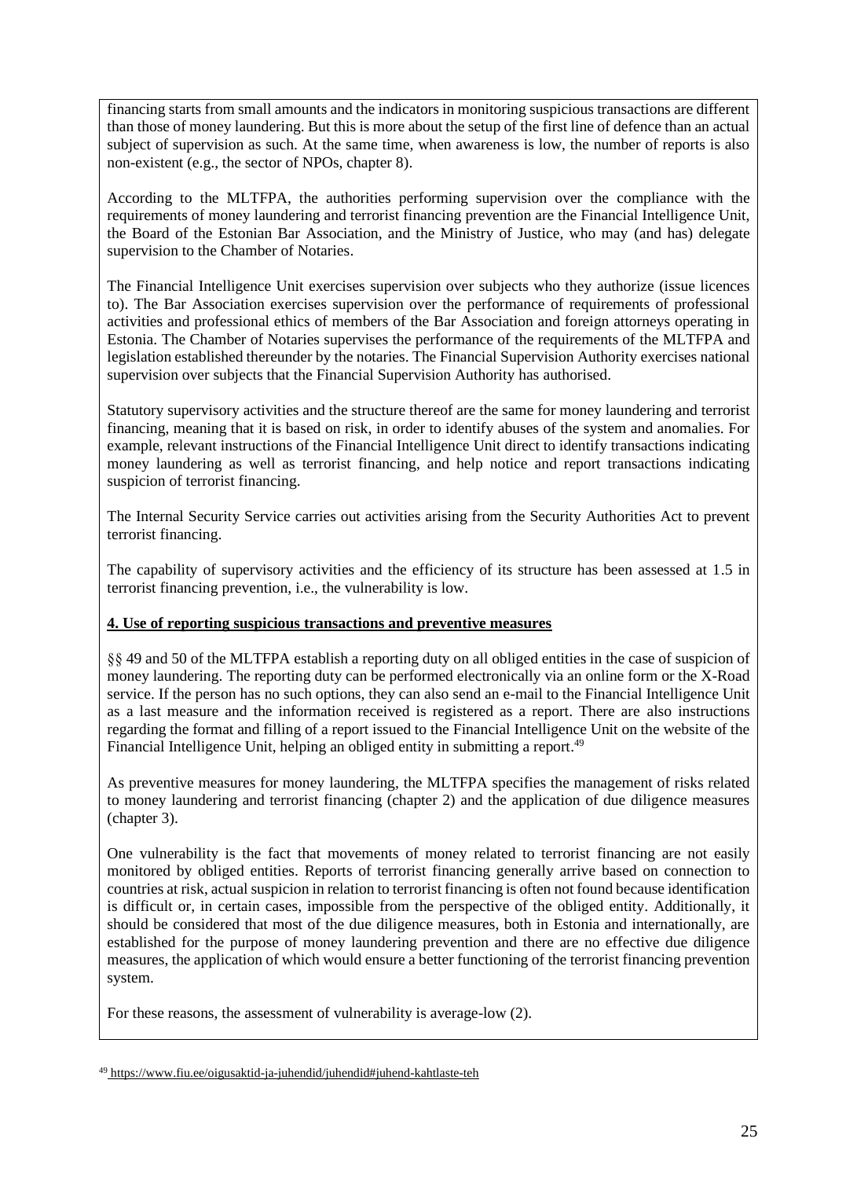financing starts from small amounts and the indicators in monitoring suspicious transactions are different than those of money laundering. But this is more about the setup of the first line of defence than an actual subject of supervision as such. At the same time, when awareness is low, the number of reports is also non-existent (e.g., the sector of NPOs, chapter 8).

According to the MLTFPA, the authorities performing supervision over the compliance with the requirements of money laundering and terrorist financing prevention are the Financial Intelligence Unit, the Board of the Estonian Bar Association, and the Ministry of Justice, who may (and has) delegate supervision to the Chamber of Notaries.

The Financial Intelligence Unit exercises supervision over subjects who they authorize (issue licences to). The Bar Association exercises supervision over the performance of requirements of professional activities and professional ethics of members of the Bar Association and foreign attorneys operating in Estonia. The Chamber of Notaries supervises the performance of the requirements of the MLTFPA and legislation established thereunder by the notaries. The Financial Supervision Authority exercises national supervision over subjects that the Financial Supervision Authority has authorised.

Statutory supervisory activities and the structure thereof are the same for money laundering and terrorist financing, meaning that it is based on risk, in order to identify abuses of the system and anomalies. For example, relevant instructions of the Financial Intelligence Unit direct to identify transactions indicating money laundering as well as terrorist financing, and help notice and report transactions indicating suspicion of terrorist financing.

The Internal Security Service carries out activities arising from the Security Authorities Act to prevent terrorist financing.

The capability of supervisory activities and the efficiency of its structure has been assessed at 1.5 in terrorist financing prevention, i.e., the vulnerability is low.

## **4. Use of reporting suspicious transactions and preventive measures**

§§ 49 and 50 of the MLTFPA establish a reporting duty on all obliged entities in the case of suspicion of money laundering. The reporting duty can be performed electronically via an online form or the X-Road service. If the person has no such options, they can also send an e-mail to the Financial Intelligence Unit as a last measure and the information received is registered as a report. There are also instructions regarding the format and filling of a report issued to the Financial Intelligence Unit on the website of the Financial Intelligence Unit, helping an obliged entity in submitting a report.<sup>49</sup>

As preventive measures for money laundering, the MLTFPA specifies the management of risks related to money laundering and terrorist financing (chapter 2) and the application of due diligence measures (chapter 3).

One vulnerability is the fact that movements of money related to terrorist financing are not easily monitored by obliged entities. Reports of terrorist financing generally arrive based on connection to countries at risk, actual suspicion in relation to terrorist financing is often not found because identification is difficult or, in certain cases, impossible from the perspective of the obliged entity. Additionally, it should be considered that most of the due diligence measures, both in Estonia and internationally, are established for the purpose of money laundering prevention and there are no effective due diligence measures, the application of which would ensure a better functioning of the terrorist financing prevention system.

For these reasons, the assessment of vulnerability is average-low (2).

<sup>49</sup> https://www.fiu.ee/oigusaktid-ja-juhendid/juhendid#juhend-kahtlaste-teh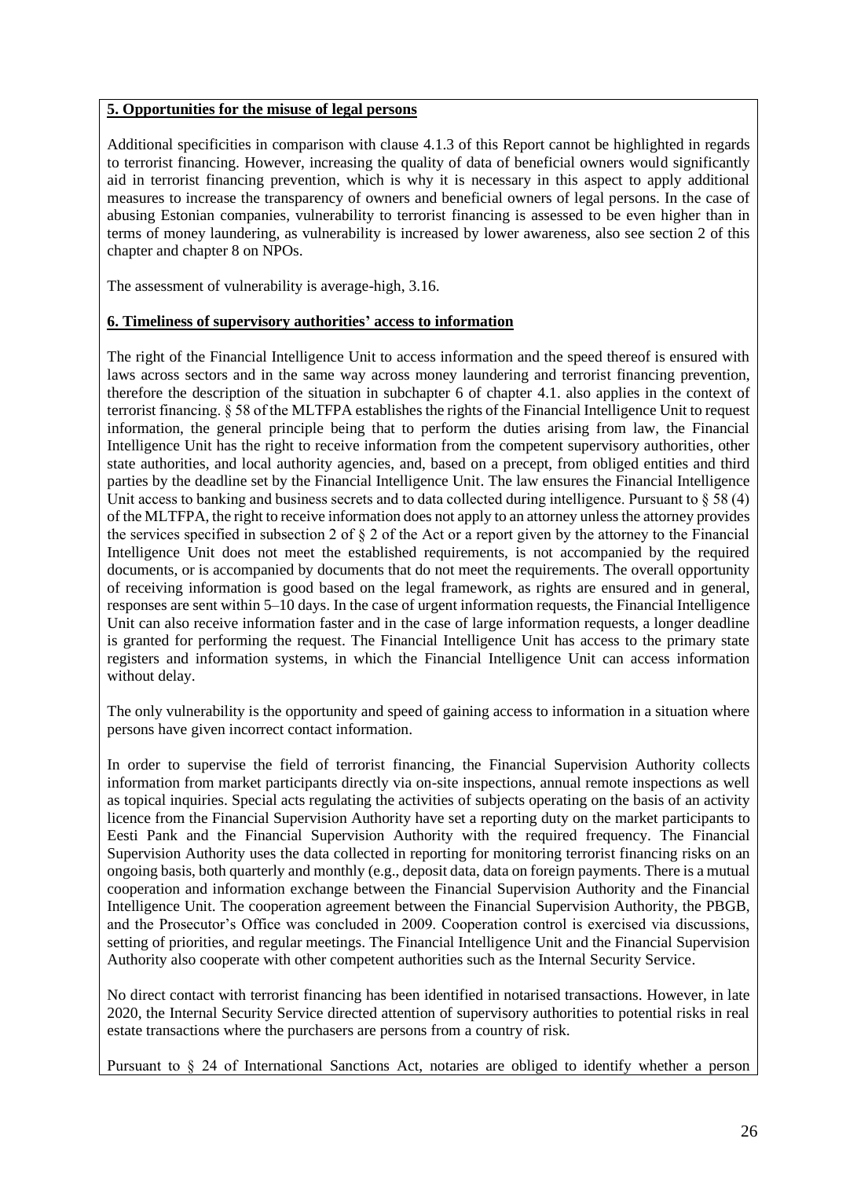#### **5. Opportunities for the misuse of legal persons**

Additional specificities in comparison with clause 4.1.3 of this Report cannot be highlighted in regards to terrorist financing. However, increasing the quality of data of beneficial owners would significantly aid in terrorist financing prevention, which is why it is necessary in this aspect to apply additional measures to increase the transparency of owners and beneficial owners of legal persons. In the case of abusing Estonian companies, vulnerability to terrorist financing is assessed to be even higher than in terms of money laundering, as vulnerability is increased by lower awareness, also see section 2 of this chapter and chapter 8 on NPOs.

The assessment of vulnerability is average-high, 3.16.

#### **6. Timeliness of supervisory authorities' access to information**

The right of the Financial Intelligence Unit to access information and the speed thereof is ensured with laws across sectors and in the same way across money laundering and terrorist financing prevention, therefore the description of the situation in subchapter 6 of chapter 4.1. also applies in the context of terrorist financing. § 58 of the MLTFPA establishes the rights of the Financial Intelligence Unit to request information, the general principle being that to perform the duties arising from law, the Financial Intelligence Unit has the right to receive information from the competent supervisory authorities, other state authorities, and local authority agencies, and, based on a precept, from obliged entities and third parties by the deadline set by the Financial Intelligence Unit. The law ensures the Financial Intelligence Unit access to banking and business secrets and to data collected during intelligence. Pursuant to  $\S 58 (4)$ of the MLTFPA, the right to receive information does not apply to an attorney unless the attorney provides the services specified in subsection 2 of  $\S 2$  of the Act or a report given by the attorney to the Financial Intelligence Unit does not meet the established requirements, is not accompanied by the required documents, or is accompanied by documents that do not meet the requirements. The overall opportunity of receiving information is good based on the legal framework, as rights are ensured and in general, responses are sent within 5–10 days. In the case of urgent information requests, the Financial Intelligence Unit can also receive information faster and in the case of large information requests, a longer deadline is granted for performing the request. The Financial Intelligence Unit has access to the primary state registers and information systems, in which the Financial Intelligence Unit can access information without delay.

The only vulnerability is the opportunity and speed of gaining access to information in a situation where persons have given incorrect contact information.

In order to supervise the field of terrorist financing, the Financial Supervision Authority collects information from market participants directly via on-site inspections, annual remote inspections as well as topical inquiries. Special acts regulating the activities of subjects operating on the basis of an activity licence from the Financial Supervision Authority have set a reporting duty on the market participants to Eesti Pank and the Financial Supervision Authority with the required frequency. The Financial Supervision Authority uses the data collected in reporting for monitoring terrorist financing risks on an ongoing basis, both quarterly and monthly (e.g., deposit data, data on foreign payments. There is a mutual cooperation and information exchange between the Financial Supervision Authority and the Financial Intelligence Unit. The cooperation agreement between the Financial Supervision Authority, the PBGB, and the Prosecutor's Office was concluded in 2009. Cooperation control is exercised via discussions, setting of priorities, and regular meetings. The Financial Intelligence Unit and the Financial Supervision Authority also cooperate with other competent authorities such as the Internal Security Service.

No direct contact with terrorist financing has been identified in notarised transactions. However, in late 2020, the Internal Security Service directed attention of supervisory authorities to potential risks in real estate transactions where the purchasers are persons from a country of risk.

Pursuant to § 24 of International Sanctions Act, notaries are obliged to identify whether a person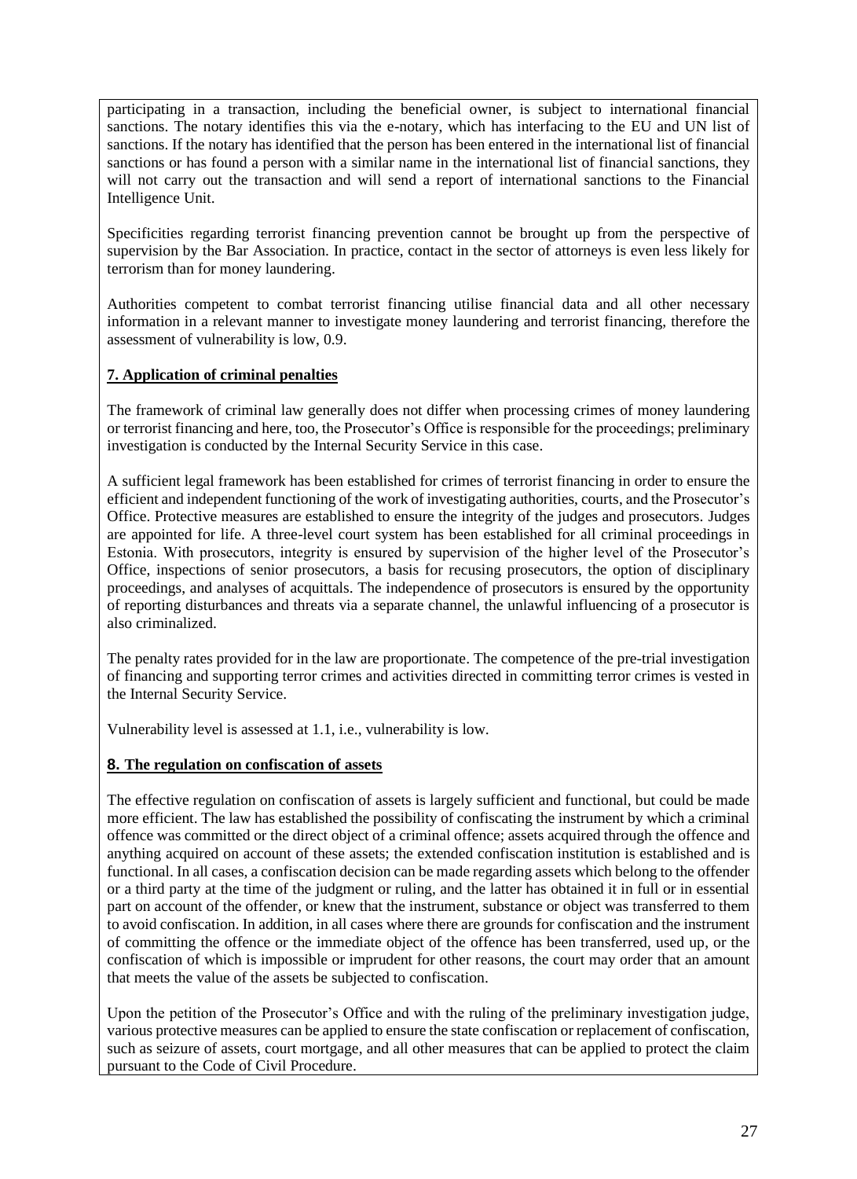participating in a transaction, including the beneficial owner, is subject to international financial sanctions. The notary identifies this via the e-notary, which has interfacing to the EU and UN list of sanctions. If the notary has identified that the person has been entered in the international list of financial sanctions or has found a person with a similar name in the international list of financial sanctions, they will not carry out the transaction and will send a report of international sanctions to the Financial Intelligence Unit.

Specificities regarding terrorist financing prevention cannot be brought up from the perspective of supervision by the Bar Association. In practice, contact in the sector of attorneys is even less likely for terrorism than for money laundering.

Authorities competent to combat terrorist financing utilise financial data and all other necessary information in a relevant manner to investigate money laundering and terrorist financing, therefore the assessment of vulnerability is low, 0.9.

# **7. Application of criminal penalties**

The framework of criminal law generally does not differ when processing crimes of money laundering or terrorist financing and here, too, the Prosecutor's Office is responsible for the proceedings; preliminary investigation is conducted by the Internal Security Service in this case.

A sufficient legal framework has been established for crimes of terrorist financing in order to ensure the efficient and independent functioning of the work of investigating authorities, courts, and the Prosecutor's Office. Protective measures are established to ensure the integrity of the judges and prosecutors. Judges are appointed for life. A three-level court system has been established for all criminal proceedings in Estonia. With prosecutors, integrity is ensured by supervision of the higher level of the Prosecutor's Office, inspections of senior prosecutors, a basis for recusing prosecutors, the option of disciplinary proceedings, and analyses of acquittals. The independence of prosecutors is ensured by the opportunity of reporting disturbances and threats via a separate channel, the unlawful influencing of a prosecutor is also criminalized.

The penalty rates provided for in the law are proportionate. The competence of the pre-trial investigation of financing and supporting terror crimes and activities directed in committing terror crimes is vested in the Internal Security Service.

Vulnerability level is assessed at 1.1, i.e., vulnerability is low.

## **8. The regulation on confiscation of assets**

The effective regulation on confiscation of assets is largely sufficient and functional, but could be made more efficient. The law has established the possibility of confiscating the instrument by which a criminal offence was committed or the direct object of a criminal offence; assets acquired through the offence and anything acquired on account of these assets; the extended confiscation institution is established and is functional. In all cases, a confiscation decision can be made regarding assets which belong to the offender or a third party at the time of the judgment or ruling, and the latter has obtained it in full or in essential part on account of the offender, or knew that the instrument, substance or object was transferred to them to avoid confiscation. In addition, in all cases where there are grounds for confiscation and the instrument of committing the offence or the immediate object of the offence has been transferred, used up, or the confiscation of which is impossible or imprudent for other reasons, the court may order that an amount that meets the value of the assets be subjected to confiscation.

Upon the petition of the Prosecutor's Office and with the ruling of the preliminary investigation judge, various protective measures can be applied to ensure the state confiscation or replacement of confiscation, such as seizure of assets, court mortgage, and all other measures that can be applied to protect the claim pursuant to the Code of Civil Procedure.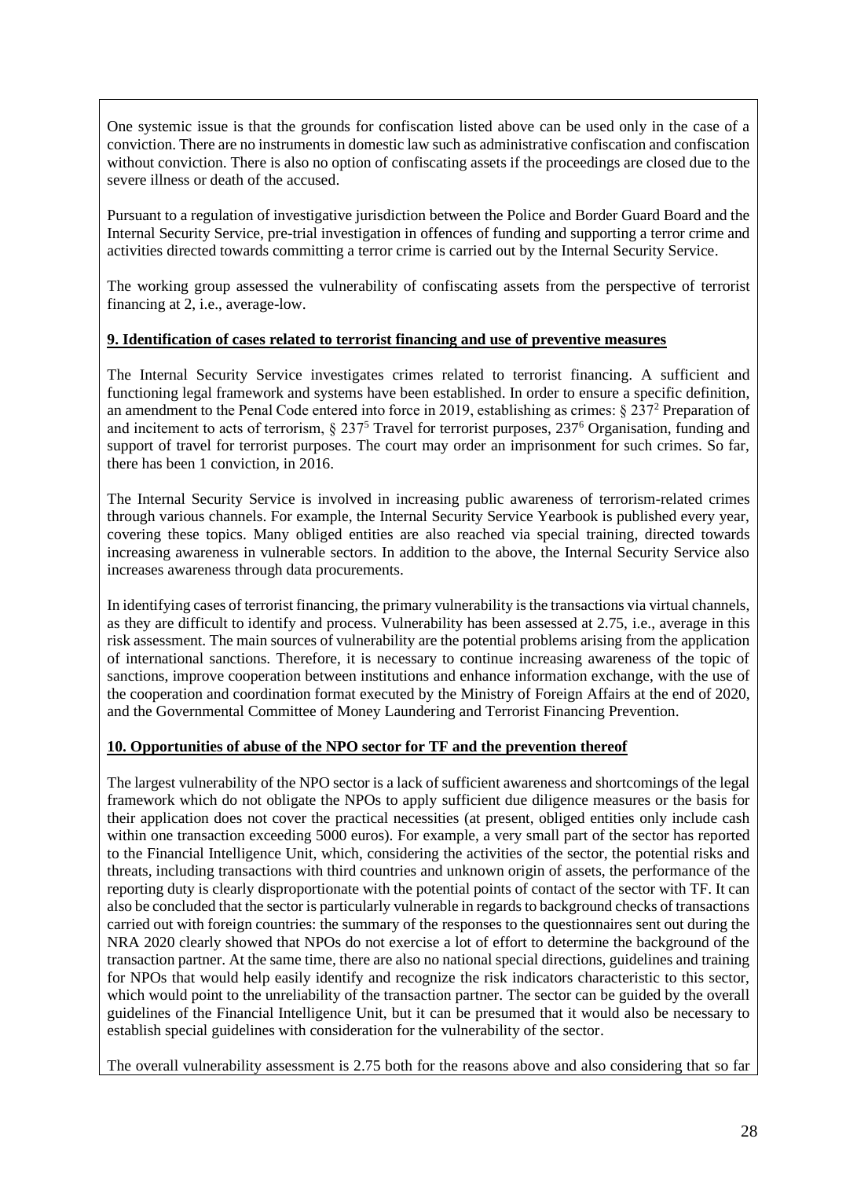One systemic issue is that the grounds for confiscation listed above can be used only in the case of a conviction. There are no instruments in domestic law such as administrative confiscation and confiscation without conviction. There is also no option of confiscating assets if the proceedings are closed due to the severe illness or death of the accused.

Pursuant to a regulation of investigative jurisdiction between the Police and Border Guard Board and the Internal Security Service, pre-trial investigation in offences of funding and supporting a terror crime and activities directed towards committing a terror crime is carried out by the Internal Security Service.

The working group assessed the vulnerability of confiscating assets from the perspective of terrorist financing at 2, i.e., average-low.

#### **9. Identification of cases related to terrorist financing and use of preventive measures**

The Internal Security Service investigates crimes related to terrorist financing. A sufficient and functioning legal framework and systems have been established. In order to ensure a specific definition, an amendment to the Penal Code entered into force in 2019, establishing as crimes: § 237<sup>2</sup> Preparation of and incitement to acts of terrorism, § 237<sup>5</sup> Travel for terrorist purposes, 237<sup>6</sup> Organisation, funding and support of travel for terrorist purposes. The court may order an imprisonment for such crimes. So far, there has been 1 conviction, in 2016.

The Internal Security Service is involved in increasing public awareness of terrorism-related crimes through various channels. For example, the Internal Security Service Yearbook is published every year, covering these topics. Many obliged entities are also reached via special training, directed towards increasing awareness in vulnerable sectors. In addition to the above, the Internal Security Service also increases awareness through data procurements.

In identifying cases of terrorist financing, the primary vulnerability is the transactions via virtual channels, as they are difficult to identify and process. Vulnerability has been assessed at 2.75, i.e., average in this risk assessment. The main sources of vulnerability are the potential problems arising from the application of international sanctions. Therefore, it is necessary to continue increasing awareness of the topic of sanctions, improve cooperation between institutions and enhance information exchange, with the use of the cooperation and coordination format executed by the Ministry of Foreign Affairs at the end of 2020, and the Governmental Committee of Money Laundering and Terrorist Financing Prevention.

#### **10. Opportunities of abuse of the NPO sector for TF and the prevention thereof**

The largest vulnerability of the NPO sector is a lack of sufficient awareness and shortcomings of the legal framework which do not obligate the NPOs to apply sufficient due diligence measures or the basis for their application does not cover the practical necessities (at present, obliged entities only include cash within one transaction exceeding 5000 euros). For example, a very small part of the sector has reported to the Financial Intelligence Unit, which, considering the activities of the sector, the potential risks and threats, including transactions with third countries and unknown origin of assets, the performance of the reporting duty is clearly disproportionate with the potential points of contact of the sector with TF. It can also be concluded that the sector is particularly vulnerable in regards to background checks of transactions carried out with foreign countries: the summary of the responses to the questionnaires sent out during the NRA 2020 clearly showed that NPOs do not exercise a lot of effort to determine the background of the transaction partner. At the same time, there are also no national special directions, guidelines and training for NPOs that would help easily identify and recognize the risk indicators characteristic to this sector, which would point to the unreliability of the transaction partner. The sector can be guided by the overall guidelines of the Financial Intelligence Unit, but it can be presumed that it would also be necessary to establish special guidelines with consideration for the vulnerability of the sector.

The overall vulnerability assessment is 2.75 both for the reasons above and also considering that so far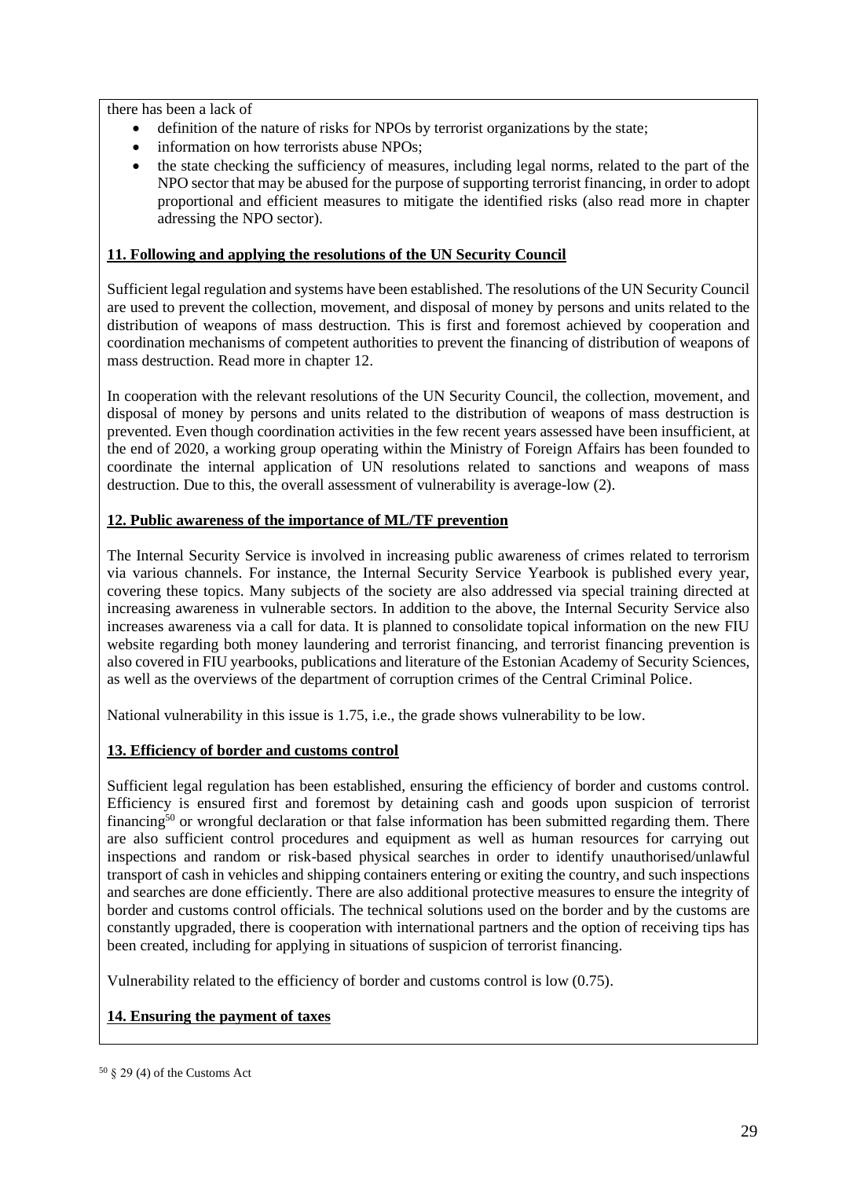there has been a lack of

- definition of the nature of risks for NPOs by terrorist organizations by the state;
- information on how terrorists abuse NPOs;
- the state checking the sufficiency of measures, including legal norms, related to the part of the NPO sector that may be abused for the purpose of supporting terrorist financing, in order to adopt proportional and efficient measures to mitigate the identified risks (also read more in chapter adressing the NPO sector).

## **11. Following and applying the resolutions of the UN Security Council**

Sufficient legal regulation and systems have been established. The resolutions of the UN Security Council are used to prevent the collection, movement, and disposal of money by persons and units related to the distribution of weapons of mass destruction. This is first and foremost achieved by cooperation and coordination mechanisms of competent authorities to prevent the financing of distribution of weapons of mass destruction. Read more in chapter 12.

In cooperation with the relevant resolutions of the UN Security Council, the collection, movement, and disposal of money by persons and units related to the distribution of weapons of mass destruction is prevented. Even though coordination activities in the few recent years assessed have been insufficient, at the end of 2020, a working group operating within the Ministry of Foreign Affairs has been founded to coordinate the internal application of UN resolutions related to sanctions and weapons of mass destruction. Due to this, the overall assessment of vulnerability is average-low (2).

# **12. Public awareness of the importance of ML/TF prevention**

The Internal Security Service is involved in increasing public awareness of crimes related to terrorism via various channels. For instance, the Internal Security Service Yearbook is published every year, covering these topics. Many subjects of the society are also addressed via special training directed at increasing awareness in vulnerable sectors. In addition to the above, the Internal Security Service also increases awareness via a call for data. It is planned to consolidate topical information on the new FIU website regarding both money laundering and terrorist financing, and terrorist financing prevention is also covered in FIU yearbooks, publications and literature of the Estonian Academy of Security Sciences, as well as the overviews of the department of corruption crimes of the Central Criminal Police.

National vulnerability in this issue is 1.75, i.e., the grade shows vulnerability to be low.

# **13. Efficiency of border and customs control**

Sufficient legal regulation has been established, ensuring the efficiency of border and customs control. Efficiency is ensured first and foremost by detaining cash and goods upon suspicion of terrorist financing<sup>50</sup> or wrongful declaration or that false information has been submitted regarding them. There are also sufficient control procedures and equipment as well as human resources for carrying out inspections and random or risk-based physical searches in order to identify unauthorised/unlawful transport of cash in vehicles and shipping containers entering or exiting the country, and such inspections and searches are done efficiently. There are also additional protective measures to ensure the integrity of border and customs control officials. The technical solutions used on the border and by the customs are constantly upgraded, there is cooperation with international partners and the option of receiving tips has been created, including for applying in situations of suspicion of terrorist financing.

Vulnerability related to the efficiency of border and customs control is low (0.75).

# **14. Ensuring the payment of taxes**

 $50 \text{ }$  § 29 (4) of the Customs Act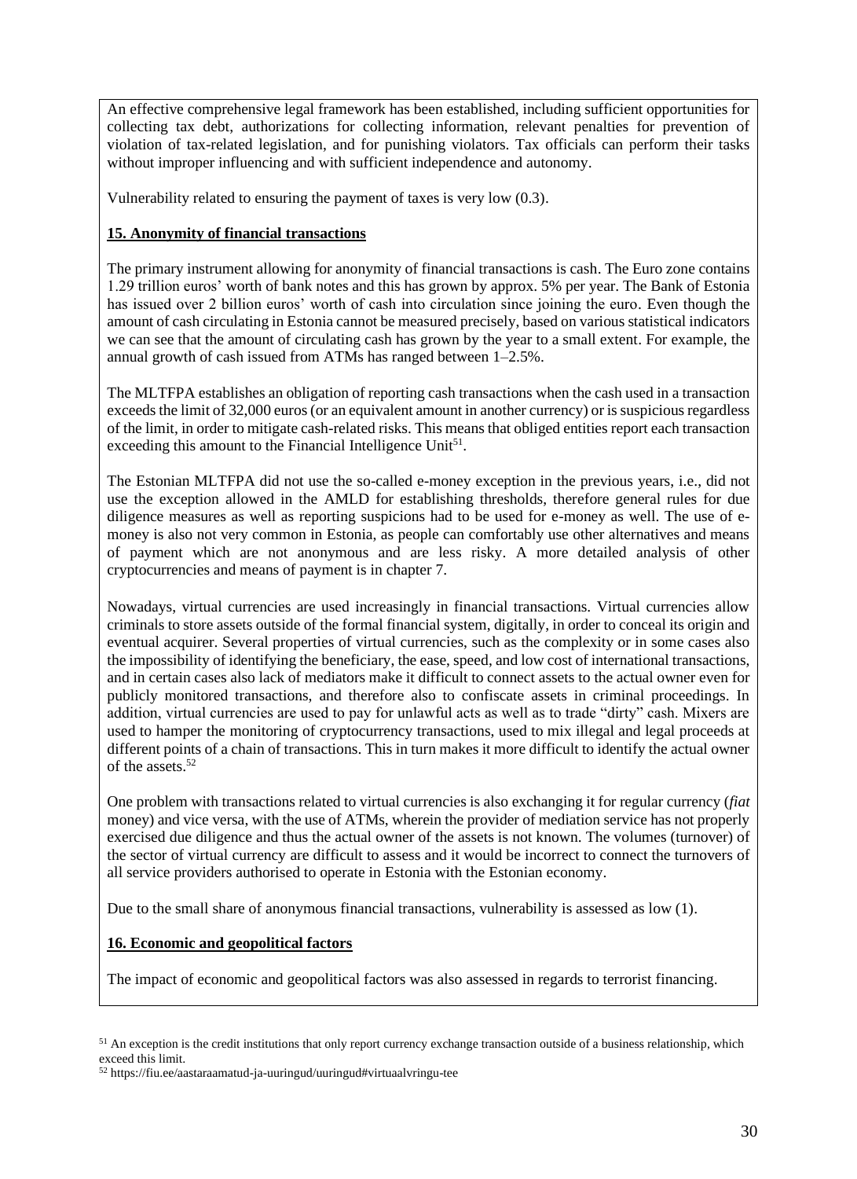An effective comprehensive legal framework has been established, including sufficient opportunities for collecting tax debt, authorizations for collecting information, relevant penalties for prevention of violation of tax-related legislation, and for punishing violators. Tax officials can perform their tasks without improper influencing and with sufficient independence and autonomy.

Vulnerability related to ensuring the payment of taxes is very low (0.3).

# **15. Anonymity of financial transactions**

The primary instrument allowing for anonymity of financial transactions is cash. The Euro zone contains 1.29 trillion euros' worth of bank notes and this has grown by approx. 5% per year. The Bank of Estonia has issued over 2 billion euros' worth of cash into circulation since joining the euro. Even though the amount of cash circulating in Estonia cannot be measured precisely, based on various statistical indicators we can see that the amount of circulating cash has grown by the year to a small extent. For example, the annual growth of cash issued from ATMs has ranged between 1–2.5%.

The MLTFPA establishes an obligation of reporting cash transactions when the cash used in a transaction exceeds the limit of 32,000 euros (or an equivalent amount in another currency) or is suspicious regardless of the limit, in order to mitigate cash-related risks. This means that obliged entities report each transaction exceeding this amount to the Financial Intelligence Unit<sup>51</sup>.

The Estonian MLTFPA did not use the so-called e-money exception in the previous years, i.e., did not use the exception allowed in the AMLD for establishing thresholds, therefore general rules for due diligence measures as well as reporting suspicions had to be used for e-money as well. The use of emoney is also not very common in Estonia, as people can comfortably use other alternatives and means of payment which are not anonymous and are less risky. A more detailed analysis of other cryptocurrencies and means of payment is in chapter 7.

Nowadays, virtual currencies are used increasingly in financial transactions. Virtual currencies allow criminals to store assets outside of the formal financial system, digitally, in order to conceal its origin and eventual acquirer. Several properties of virtual currencies, such as the complexity or in some cases also the impossibility of identifying the beneficiary, the ease, speed, and low cost of international transactions, and in certain cases also lack of mediators make it difficult to connect assets to the actual owner even for publicly monitored transactions, and therefore also to confiscate assets in criminal proceedings. In addition, virtual currencies are used to pay for unlawful acts as well as to trade "dirty" cash. Mixers are used to hamper the monitoring of cryptocurrency transactions, used to mix illegal and legal proceeds at different points of a chain of transactions. This in turn makes it more difficult to identify the actual owner of the assets. 52

One problem with transactions related to virtual currencies is also exchanging it for regular currency (*fiat* money) and vice versa, with the use of ATMs, wherein the provider of mediation service has not properly exercised due diligence and thus the actual owner of the assets is not known. The volumes (turnover) of the sector of virtual currency are difficult to assess and it would be incorrect to connect the turnovers of all service providers authorised to operate in Estonia with the Estonian economy.

Due to the small share of anonymous financial transactions, vulnerability is assessed as low (1).

#### **16. Economic and geopolitical factors**

The impact of economic and geopolitical factors was also assessed in regards to terrorist financing.

<sup>&</sup>lt;sup>51</sup> An exception is the credit institutions that only report currency exchange transaction outside of a business relationship, which exceed this limit.

<sup>52</sup> https://fiu.ee/aastaraamatud-ja-uuringud/uuringud#virtuaalvringu-tee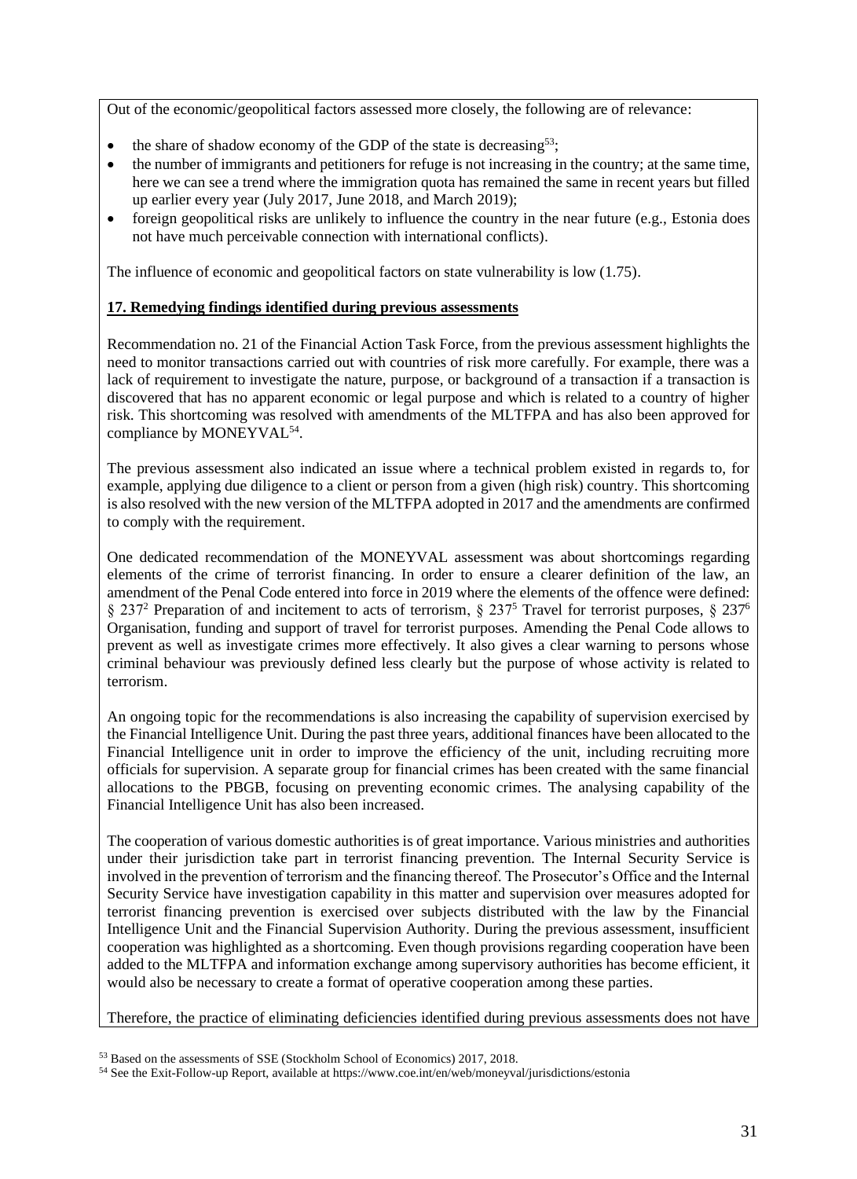Out of the economic/geopolitical factors assessed more closely, the following are of relevance:

- the share of shadow economy of the GDP of the state is decreasing<sup>53</sup>;
- the number of immigrants and petitioners for refuge is not increasing in the country; at the same time, here we can see a trend where the immigration quota has remained the same in recent years but filled up earlier every year (July 2017, June 2018, and March 2019);
- foreign geopolitical risks are unlikely to influence the country in the near future (e.g., Estonia does not have much perceivable connection with international conflicts).

The influence of economic and geopolitical factors on state vulnerability is low (1.75).

#### **17. Remedying findings identified during previous assessments**

Recommendation no. 21 of the Financial Action Task Force, from the previous assessment highlights the need to monitor transactions carried out with countries of risk more carefully. For example, there was a lack of requirement to investigate the nature, purpose, or background of a transaction if a transaction is discovered that has no apparent economic or legal purpose and which is related to a country of higher risk. This shortcoming was resolved with amendments of the MLTFPA and has also been approved for compliance by MONEYVAL<sup>54</sup>.

The previous assessment also indicated an issue where a technical problem existed in regards to, for example, applying due diligence to a client or person from a given (high risk) country. This shortcoming is also resolved with the new version of the MLTFPA adopted in 2017 and the amendments are confirmed to comply with the requirement.

One dedicated recommendation of the MONEYVAL assessment was about shortcomings regarding elements of the crime of terrorist financing. In order to ensure a clearer definition of the law, an amendment of the Penal Code entered into force in 2019 where the elements of the offence were defined: § 237<sup>2</sup> Preparation of and incitement to acts of terrorism, § 237<sup>5</sup> Travel for terrorist purposes, § 237<sup>6</sup> Organisation, funding and support of travel for terrorist purposes. Amending the Penal Code allows to prevent as well as investigate crimes more effectively. It also gives a clear warning to persons whose criminal behaviour was previously defined less clearly but the purpose of whose activity is related to terrorism.

An ongoing topic for the recommendations is also increasing the capability of supervision exercised by the Financial Intelligence Unit. During the past three years, additional finances have been allocated to the Financial Intelligence unit in order to improve the efficiency of the unit, including recruiting more officials for supervision. A separate group for financial crimes has been created with the same financial allocations to the PBGB, focusing on preventing economic crimes. The analysing capability of the Financial Intelligence Unit has also been increased.

The cooperation of various domestic authorities is of great importance. Various ministries and authorities under their jurisdiction take part in terrorist financing prevention. The Internal Security Service is involved in the prevention of terrorism and the financing thereof. The Prosecutor's Office and the Internal Security Service have investigation capability in this matter and supervision over measures adopted for terrorist financing prevention is exercised over subjects distributed with the law by the Financial Intelligence Unit and the Financial Supervision Authority. During the previous assessment, insufficient cooperation was highlighted as a shortcoming. Even though provisions regarding cooperation have been added to the MLTFPA and information exchange among supervisory authorities has become efficient, it would also be necessary to create a format of operative cooperation among these parties.

Therefore, the practice of eliminating deficiencies identified during previous assessments does not have

<sup>53</sup> Based on the assessments of SSE (Stockholm School of Economics) 2017, 2018.

<sup>54</sup> See the Exit-Follow-up Report, available at https://www.coe.int/en/web/moneyval/jurisdictions/estonia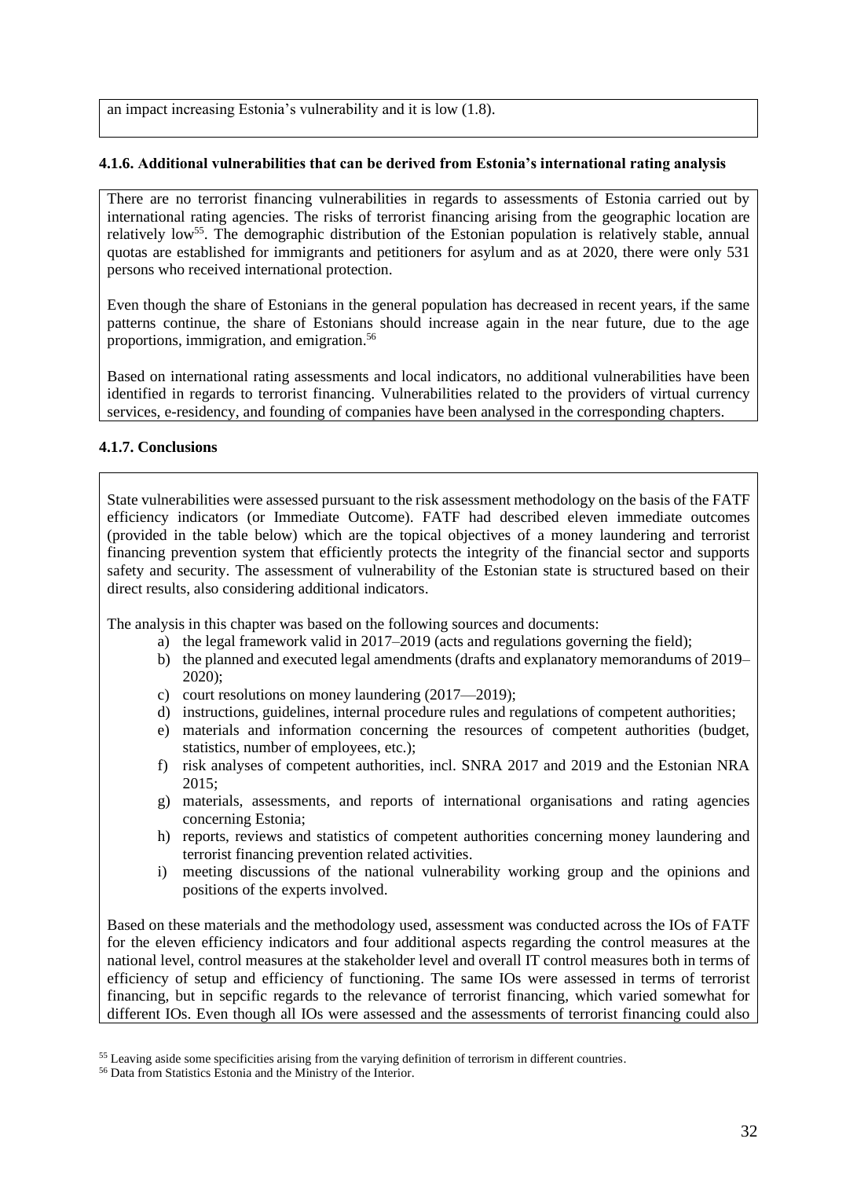an impact increasing Estonia's vulnerability and it is low (1.8).

#### **4.1.6. Additional vulnerabilities that can be derived from Estonia's international rating analysis**

There are no terrorist financing vulnerabilities in regards to assessments of Estonia carried out by international rating agencies. The risks of terrorist financing arising from the geographic location are relatively low<sup>55</sup>. The demographic distribution of the Estonian population is relatively stable, annual quotas are established for immigrants and petitioners for asylum and as at 2020, there were only 531 persons who received international protection.

Even though the share of Estonians in the general population has decreased in recent years, if the same patterns continue, the share of Estonians should increase again in the near future, due to the age proportions, immigration, and emigration. 56

Based on international rating assessments and local indicators, no additional vulnerabilities have been identified in regards to terrorist financing. Vulnerabilities related to the providers of virtual currency services, e-residency, and founding of companies have been analysed in the corresponding chapters.

## **4.1.7. Conclusions**

State vulnerabilities were assessed pursuant to the risk assessment methodology on the basis of the FATF efficiency indicators (or Immediate Outcome). FATF had described eleven immediate outcomes (provided in the table below) which are the topical objectives of a money laundering and terrorist financing prevention system that efficiently protects the integrity of the financial sector and supports safety and security. The assessment of vulnerability of the Estonian state is structured based on their direct results, also considering additional indicators.

The analysis in this chapter was based on the following sources and documents:

- a) the legal framework valid in 2017–2019 (acts and regulations governing the field);
- b) the planned and executed legal amendments (drafts and explanatory memorandums of 2019– 2020);
- c) court resolutions on money laundering (2017—2019);
- d) instructions, guidelines, internal procedure rules and regulations of competent authorities;
- e) materials and information concerning the resources of competent authorities (budget, statistics, number of employees, etc.);
- f) risk analyses of competent authorities, incl. SNRA 2017 and 2019 and the Estonian NRA 2015;
- g) materials, assessments, and reports of international organisations and rating agencies concerning Estonia;
- h) reports, reviews and statistics of competent authorities concerning money laundering and terrorist financing prevention related activities.
- i) meeting discussions of the national vulnerability working group and the opinions and positions of the experts involved.

Based on these materials and the methodology used, assessment was conducted across the IOs of FATF for the eleven efficiency indicators and four additional aspects regarding the control measures at the national level, control measures at the stakeholder level and overall IT control measures both in terms of efficiency of setup and efficiency of functioning. The same IOs were assessed in terms of terrorist financing, but in sepcific regards to the relevance of terrorist financing, which varied somewhat for different IOs. Even though all IOs were assessed and the assessments of terrorist financing could also

<sup>&</sup>lt;sup>55</sup> Leaving aside some specificities arising from the varying definition of terrorism in different countries.

<sup>56</sup> Data from Statistics Estonia and the Ministry of the Interior.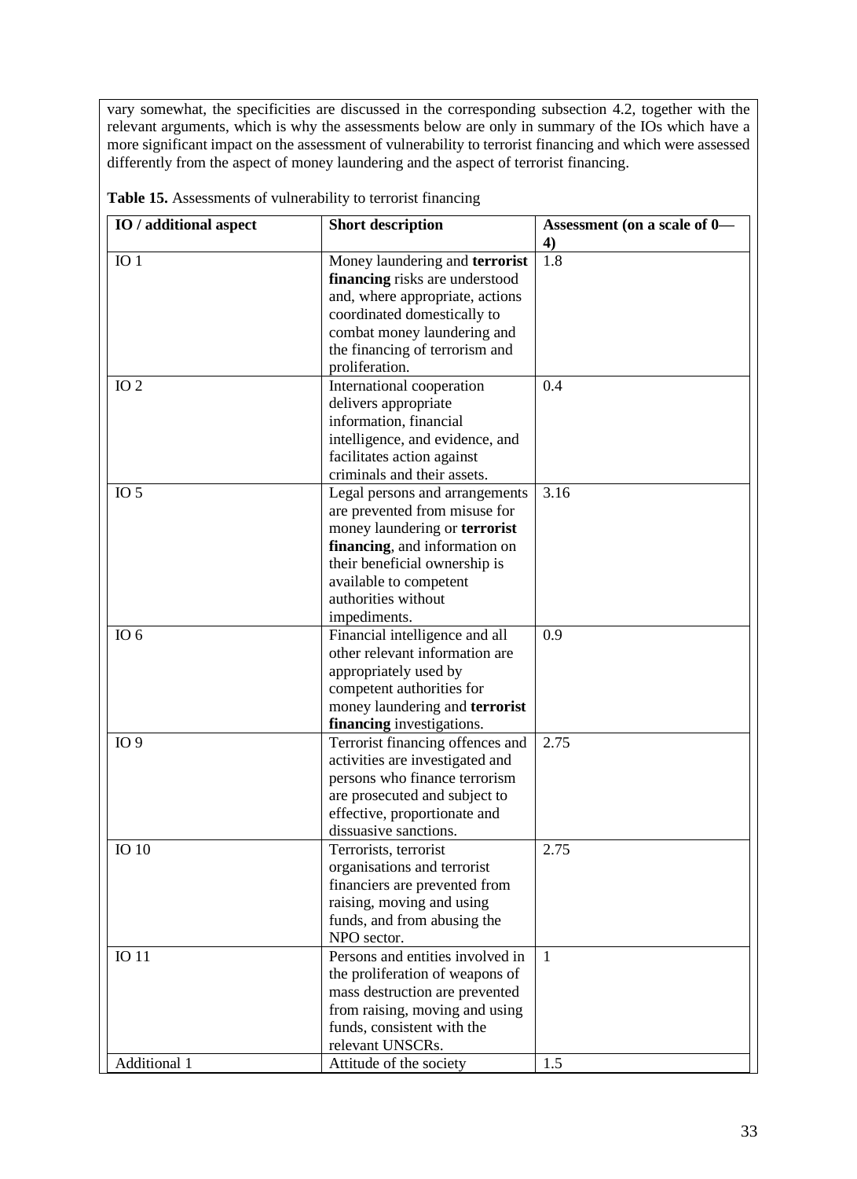vary somewhat, the specificities are discussed in the corresponding subsection 4.2, together with the relevant arguments, which is why the assessments below are only in summary of the IOs which have a more significant impact on the assessment of vulnerability to terrorist financing and which were assessed differently from the aspect of money laundering and the aspect of terrorist financing.

| IO / additional aspect | <b>Short description</b>         |              |
|------------------------|----------------------------------|--------------|
|                        |                                  | 4)           |
| IO <sub>1</sub>        | Money laundering and terrorist   | 1.8          |
|                        | financing risks are understood   |              |
|                        | and, where appropriate, actions  |              |
|                        | coordinated domestically to      |              |
|                        | combat money laundering and      |              |
|                        | the financing of terrorism and   |              |
|                        | proliferation.                   |              |
| IO <sub>2</sub>        | International cooperation        | 0.4          |
|                        | delivers appropriate             |              |
|                        | information, financial           |              |
|                        | intelligence, and evidence, and  |              |
|                        | facilitates action against       |              |
|                        | criminals and their assets.      |              |
| IO <sub>5</sub>        | Legal persons and arrangements   | 3.16         |
|                        | are prevented from misuse for    |              |
|                        | money laundering or terrorist    |              |
|                        | financing, and information on    |              |
|                        | their beneficial ownership is    |              |
|                        | available to competent           |              |
|                        | authorities without              |              |
|                        | impediments.                     |              |
| IO $6$                 | Financial intelligence and all   | 0.9          |
|                        | other relevant information are   |              |
|                        | appropriately used by            |              |
|                        | competent authorities for        |              |
|                        | money laundering and terrorist   |              |
|                        | financing investigations.        |              |
| IO <sub>9</sub>        | Terrorist financing offences and | 2.75         |
|                        | activities are investigated and  |              |
|                        | persons who finance terrorism    |              |
|                        | are prosecuted and subject to    |              |
|                        | effective, proportionate and     |              |
|                        | dissuasive sanctions.            |              |
| <b>IO</b> 10           | Terrorists, terrorist            | 2.75         |
|                        | organisations and terrorist      |              |
|                        | financiers are prevented from    |              |
|                        | raising, moving and using        |              |
|                        | funds, and from abusing the      |              |
|                        | NPO sector.                      |              |
| <b>IO11</b>            | Persons and entities involved in | $\mathbf{1}$ |
|                        | the proliferation of weapons of  |              |
|                        | mass destruction are prevented   |              |
|                        | from raising, moving and using   |              |
|                        | funds, consistent with the       |              |
|                        | relevant UNSCRs.                 |              |
| Additional 1           | Attitude of the society          | 1.5          |

**Table 15.** Assessments of vulnerability to terrorist financing